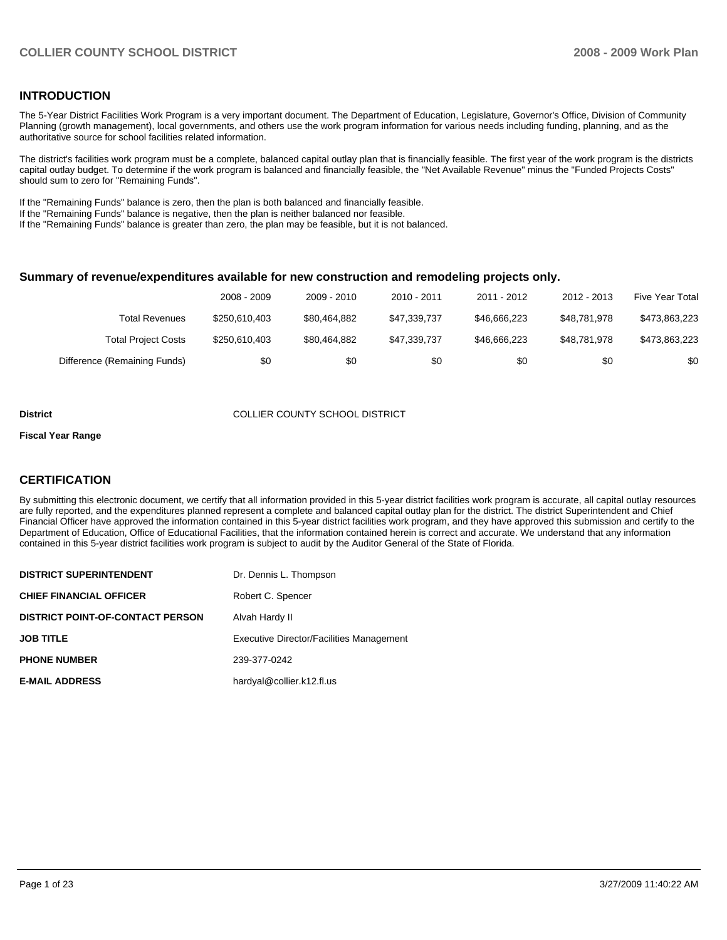#### **INTRODUCTION**

The 5-Year District Facilities Work Program is a very important document. The Department of Education, Legislature, Governor's Office, Division of Community Planning (growth management), local governments, and others use the work program information for various needs including funding, planning, and as the authoritative source for school facilities related information.

The district's facilities work program must be a complete, balanced capital outlay plan that is financially feasible. The first year of the work program is the districts capital outlay budget. To determine if the work program is balanced and financially feasible, the "Net Available Revenue" minus the "Funded Projects Costs" should sum to zero for "Remaining Funds".

If the "Remaining Funds" balance is zero, then the plan is both balanced and financially feasible.

If the "Remaining Funds" balance is negative, then the plan is neither balanced nor feasible.

If the "Remaining Funds" balance is greater than zero, the plan may be feasible, but it is not balanced.

#### **Summary of revenue/expenditures available for new construction and remodeling projects only.**

|                              | 2008 - 2009   | 2009 - 2010  | 2010 - 2011  | 2011 - 2012  | 2012 - 2013  | Five Year Total |
|------------------------------|---------------|--------------|--------------|--------------|--------------|-----------------|
| Total Revenues               | \$250,610,403 | \$80.464.882 | \$47.339.737 | \$46,666,223 | \$48,781,978 | \$473,863,223   |
| <b>Total Project Costs</b>   | \$250,610,403 | \$80.464.882 | \$47.339.737 | \$46,666,223 | \$48,781,978 | \$473,863,223   |
| Difference (Remaining Funds) | \$0           | \$0          | \$0          | \$0          | \$0          | \$0             |

#### **District** COLLIER COUNTY SCHOOL DISTRICT

#### **Fiscal Year Range**

#### **CERTIFICATION**

By submitting this electronic document, we certify that all information provided in this 5-year district facilities work program is accurate, all capital outlay resources are fully reported, and the expenditures planned represent a complete and balanced capital outlay plan for the district. The district Superintendent and Chief Financial Officer have approved the information contained in this 5-year district facilities work program, and they have approved this submission and certify to the Department of Education, Office of Educational Facilities, that the information contained herein is correct and accurate. We understand that any information contained in this 5-year district facilities work program is subject to audit by the Auditor General of the State of Florida.

| <b>DISTRICT SUPERINTENDENT</b>          | Dr. Dennis L. Thompson                          |
|-----------------------------------------|-------------------------------------------------|
| <b>CHIEF FINANCIAL OFFICER</b>          | Robert C. Spencer                               |
| <b>DISTRICT POINT-OF-CONTACT PERSON</b> | Alvah Hardy II                                  |
| <b>JOB TITLE</b>                        | <b>Executive Director/Facilities Management</b> |
| <b>PHONE NUMBER</b>                     | 239-377-0242                                    |
| <b>E-MAIL ADDRESS</b>                   | hardyal@collier.k12.fl.us                       |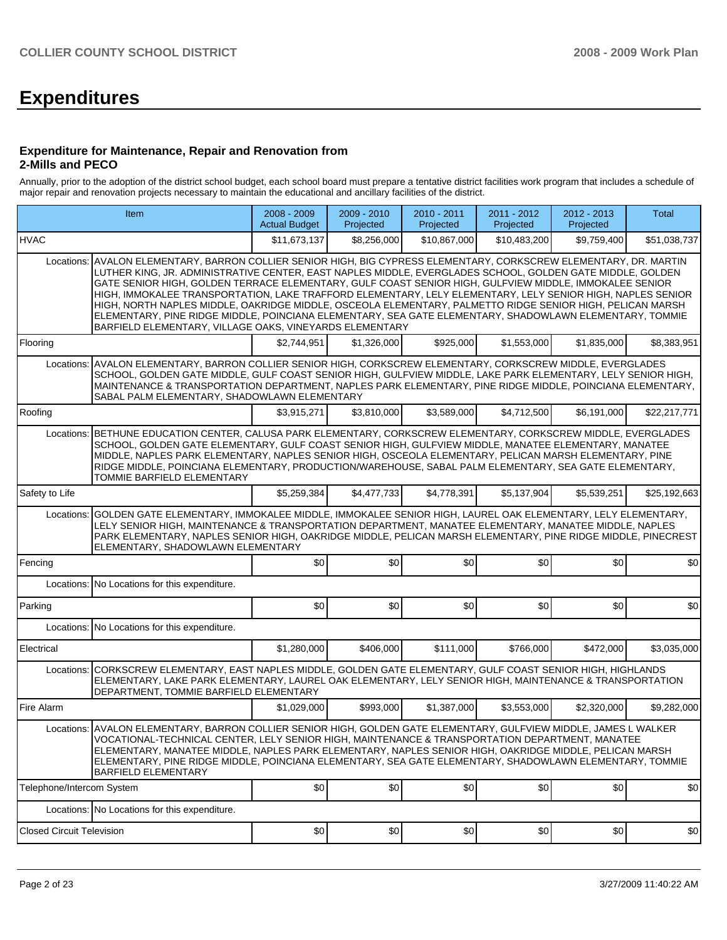# **Expenditures**

#### **Expenditure for Maintenance, Repair and Renovation from 2-Mills and PECO**

Annually, prior to the adoption of the district school budget, each school board must prepare a tentative district facilities work program that includes a schedule of major repair and renovation projects necessary to maintain the educational and ancillary facilities of the district.

|                                  | Item                                                                                                                                                                                                                                                                                                                                                                                                                                                                                                                                                                                                                                                                                                                            | 2008 - 2009<br><b>Actual Budget</b> | 2009 - 2010<br>Projected | 2010 - 2011<br>Projected | $2011 - 2012$<br>Projected | 2012 - 2013<br>Projected | Total        |
|----------------------------------|---------------------------------------------------------------------------------------------------------------------------------------------------------------------------------------------------------------------------------------------------------------------------------------------------------------------------------------------------------------------------------------------------------------------------------------------------------------------------------------------------------------------------------------------------------------------------------------------------------------------------------------------------------------------------------------------------------------------------------|-------------------------------------|--------------------------|--------------------------|----------------------------|--------------------------|--------------|
| <b>HVAC</b>                      |                                                                                                                                                                                                                                                                                                                                                                                                                                                                                                                                                                                                                                                                                                                                 | \$11,673,137                        | \$8,256,000              | \$10,867,000             | \$10,483,200               | \$9,759,400              | \$51,038,737 |
| Locations:                       | AVALON ELEMENTARY, BARRON COLLIER SENIOR HIGH, BIG CYPRESS ELEMENTARY, CORKSCREW ELEMENTARY, DR. MARTIN<br>LUTHER KING, JR. ADMINISTRATIVE CENTER, EAST NAPLES MIDDLE, EVERGLADES SCHOOL, GOLDEN GATE MIDDLE, GOLDEN<br>GATE SENIOR HIGH, GOLDEN TERRACE ELEMENTARY, GULF COAST SENIOR HIGH, GULFVIEW MIDDLE, IMMOKALEE SENIOR<br>HIGH, IMMOKALEE TRANSPORTATION, LAKE TRAFFORD ELEMENTARY, LELY ELEMENTARY, LELY SENIOR HIGH, NAPLES SENIOR<br>HIGH, NORTH NAPLES MIDDLE, OAKRIDGE MIDDLE, OSCEOLA ELEMENTARY, PALMETTO RIDGE SENIOR HIGH, PELICAN MARSH<br>ELEMENTARY, PINE RIDGE MIDDLE, POINCIANA ELEMENTARY, SEA GATE ELEMENTARY, SHADOWLAWN ELEMENTARY, TOMMIE<br>BARFIELD ELEMENTARY, VILLAGE OAKS, VINEYARDS ELEMENTARY |                                     |                          |                          |                            |                          |              |
| Flooring                         |                                                                                                                                                                                                                                                                                                                                                                                                                                                                                                                                                                                                                                                                                                                                 | \$2.744.951                         | \$1,326,000              | \$925,000                | \$1,553,000                | \$1,835,000              | \$8,383,951  |
| Locations:                       | AVALON ELEMENTARY, BARRON COLLIER SENIOR HIGH, CORKSCREW ELEMENTARY, CORKSCREW MIDDLE, EVERGLADES<br>SCHOOL, GOLDEN GATE MIDDLE, GULF COAST SENIOR HIGH, GULFVIEW MIDDLE, LAKE PARK ELEMENTARY, LELY SENIOR HIGH,<br>MAINTENANCE & TRANSPORTATION DEPARTMENT, NAPLES PARK ELEMENTARY, PINE RIDGE MIDDLE, POINCIANA ELEMENTARY,<br>SABAL PALM ELEMENTARY, SHADOWLAWN ELEMENTARY                                                                                                                                                                                                                                                                                                                                                  |                                     |                          |                          |                            |                          |              |
| Roofing                          |                                                                                                                                                                                                                                                                                                                                                                                                                                                                                                                                                                                                                                                                                                                                 | \$3,915,271                         | \$3,810,000              | \$3,589,000              | \$4,712,500                | \$6,191,000              | \$22,217,771 |
|                                  | Locations: BETHUNE EDUCATION CENTER, CALUSA PARK ELEMENTARY, CORKSCREW ELEMENTARY, CORKSCREW MIDDLE, EVERGLADES<br>SCHOOL, GOLDEN GATE ELEMENTARY, GULF COAST SENIOR HIGH, GULFVIEW MIDDLE, MANATEE ELEMENTARY, MANATEE<br>MIDDLE, NAPLES PARK ELEMENTARY, NAPLES SENIOR HIGH, OSCEOLA ELEMENTARY, PELICAN MARSH ELEMENTARY, PINE<br>RIDGE MIDDLE, POINCIANA ELEMENTARY, PRODUCTION/WAREHOUSE, SABAL PALM ELEMENTARY, SEA GATE ELEMENTARY,<br>TOMMIE BARFIELD ELEMENTARY                                                                                                                                                                                                                                                        |                                     |                          |                          |                            |                          |              |
| Safety to Life                   |                                                                                                                                                                                                                                                                                                                                                                                                                                                                                                                                                                                                                                                                                                                                 | \$5,259,384                         | \$4,477,733              | \$4,778,391              | \$5,137,904                | \$5,539,251              | \$25.192.663 |
| Locations:                       | GOLDEN GATE ELEMENTARY, IMMOKALEE MIDDLE, IMMOKALEE SENIOR HIGH, LAUREL OAK ELEMENTARY, LELY ELEMENTARY,<br>LELY SENIOR HIGH, MAINTENANCE & TRANSPORTATION DEPARTMENT, MANATEE ELEMENTARY, MANATEE MIDDLE, NAPLES<br>PARK ELEMENTARY, NAPLES SENIOR HIGH, OAKRIDGE MIDDLE, PELICAN MARSH ELEMENTARY, PINE RIDGE MIDDLE, PINECREST<br>ELEMENTARY, SHADOWLAWN ELEMENTARY                                                                                                                                                                                                                                                                                                                                                          |                                     |                          |                          |                            |                          |              |
| Fencing                          |                                                                                                                                                                                                                                                                                                                                                                                                                                                                                                                                                                                                                                                                                                                                 | \$0                                 | \$0                      | \$0                      | \$0                        | \$0                      | \$0          |
| Locations:                       | No Locations for this expenditure.                                                                                                                                                                                                                                                                                                                                                                                                                                                                                                                                                                                                                                                                                              |                                     |                          |                          |                            |                          |              |
| Parking                          |                                                                                                                                                                                                                                                                                                                                                                                                                                                                                                                                                                                                                                                                                                                                 | \$0                                 | \$0                      | \$0                      | \$0                        | \$0                      | \$0          |
| Locations:                       | No Locations for this expenditure.                                                                                                                                                                                                                                                                                                                                                                                                                                                                                                                                                                                                                                                                                              |                                     |                          |                          |                            |                          |              |
| Electrical                       |                                                                                                                                                                                                                                                                                                                                                                                                                                                                                                                                                                                                                                                                                                                                 | \$1,280,000                         | \$406,000                | \$111,000                | \$766,000                  | \$472,000                | \$3,035,000  |
| Locations:                       | CORKSCREW ELEMENTARY, EAST NAPLES MIDDLE, GOLDEN GATE ELEMENTARY, GULF COAST SENIOR HIGH, HIGHLANDS<br>ELEMENTARY, LAKE PARK ELEMENTARY, LAUREL OAK ELEMENTARY, LELY SENIOR HIGH, MAINTENANCE & TRANSPORTATION<br>DEPARTMENT, TOMMIE BARFIELD ELEMENTARY                                                                                                                                                                                                                                                                                                                                                                                                                                                                        |                                     |                          |                          |                            |                          |              |
| Fire Alarm                       |                                                                                                                                                                                                                                                                                                                                                                                                                                                                                                                                                                                                                                                                                                                                 | \$1,029,000                         | \$993,000                | \$1,387,000              | \$3,553,000                | \$2,320,000              | \$9,282,000  |
|                                  | Locations: AVALON ELEMENTARY, BARRON COLLIER SENIOR HIGH, GOLDEN GATE ELEMENTARY, GULFVIEW MIDDLE, JAMES L WALKER<br>VOCATIONAL-TECHNICAL CENTER, LELY SENIOR HIGH, MAINTENANCE & TRANSPORTATION DEPARTMENT, MANATEE<br>ELEMENTARY, MANATEE MIDDLE, NAPLES PARK ELEMENTARY, NAPLES SENIOR HIGH, OAKRIDGE MIDDLE, PELICAN MARSH<br>ELEMENTARY, PINE RIDGE MIDDLE, POINCIANA ELEMENTARY, SEA GATE ELEMENTARY, SHADOWLAWN ELEMENTARY, TOMMIE<br><b>BARFIELD ELEMENTARY</b>                                                                                                                                                                                                                                                         |                                     |                          |                          |                            |                          |              |
| Telephone/Intercom System        |                                                                                                                                                                                                                                                                                                                                                                                                                                                                                                                                                                                                                                                                                                                                 | \$0                                 | \$0                      | \$0                      | \$0                        | \$0                      | \$0          |
|                                  | Locations: No Locations for this expenditure.                                                                                                                                                                                                                                                                                                                                                                                                                                                                                                                                                                                                                                                                                   |                                     |                          |                          |                            |                          |              |
| <b>Closed Circuit Television</b> |                                                                                                                                                                                                                                                                                                                                                                                                                                                                                                                                                                                                                                                                                                                                 | \$0                                 | \$0                      | \$0                      | \$0                        | \$0                      | \$0          |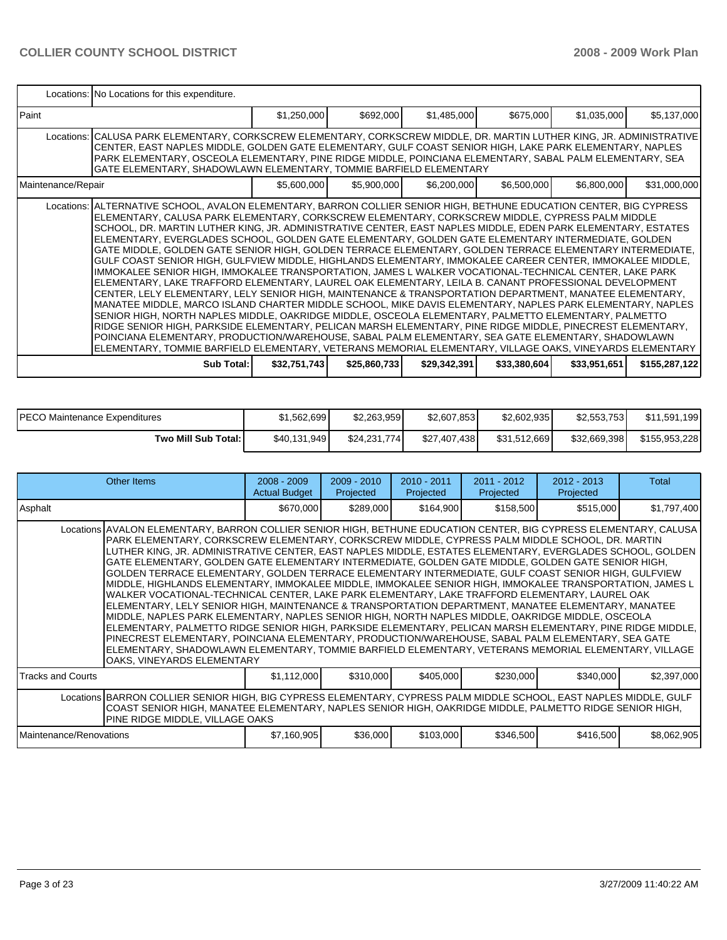|                    | Locations: No Locations for this expenditure.                                                                                                                                                                                                                                                                                                                                                                                                                                                                                                                                                                                                                                                                                                                                                                                                                                                                                                                                                                                                                                                                                                                                                                                                                                                                                                                                                                                                                                                                                                            |              |              |              |              |              |               |
|--------------------|----------------------------------------------------------------------------------------------------------------------------------------------------------------------------------------------------------------------------------------------------------------------------------------------------------------------------------------------------------------------------------------------------------------------------------------------------------------------------------------------------------------------------------------------------------------------------------------------------------------------------------------------------------------------------------------------------------------------------------------------------------------------------------------------------------------------------------------------------------------------------------------------------------------------------------------------------------------------------------------------------------------------------------------------------------------------------------------------------------------------------------------------------------------------------------------------------------------------------------------------------------------------------------------------------------------------------------------------------------------------------------------------------------------------------------------------------------------------------------------------------------------------------------------------------------|--------------|--------------|--------------|--------------|--------------|---------------|
| l Paint            |                                                                                                                                                                                                                                                                                                                                                                                                                                                                                                                                                                                                                                                                                                                                                                                                                                                                                                                                                                                                                                                                                                                                                                                                                                                                                                                                                                                                                                                                                                                                                          | \$1,250,000  | \$692,000    | \$1,485,000  | \$675,000    | \$1,035,000  | \$5,137,000   |
|                    | Locations: CALUSA PARK ELEMENTARY, CORKSCREW ELEMENTARY, CORKSCREW MIDDLE, DR. MARTIN LUTHER KING, JR. ADMINISTRATIVE<br>CENTER, EAST NAPLES MIDDLE, GOLDEN GATE ELEMENTARY, GULF COAST SENIOR HIGH, LAKE PARK ELEMENTARY, NAPLES<br>PARK ELEMENTARY, OSCEOLA ELEMENTARY, PINE RIDGE MIDDLE, POINCIANA ELEMENTARY, SABAL PALM ELEMENTARY, SEA<br>GATE ELEMENTARY, SHADOWLAWN ELEMENTARY, TOMMIE BARFIELD ELEMENTARY                                                                                                                                                                                                                                                                                                                                                                                                                                                                                                                                                                                                                                                                                                                                                                                                                                                                                                                                                                                                                                                                                                                                      |              |              |              |              |              |               |
| Maintenance/Repair |                                                                                                                                                                                                                                                                                                                                                                                                                                                                                                                                                                                                                                                                                                                                                                                                                                                                                                                                                                                                                                                                                                                                                                                                                                                                                                                                                                                                                                                                                                                                                          | \$5,600,000  | \$5,900,000  | \$6,200,000  | \$6,500,000  | \$6,800,000  | \$31,000,000  |
|                    | Locations: ALTERNATIVE SCHOOL, AVALON ELEMENTARY, BARRON COLLIER SENIOR HIGH, BETHUNE EDUCATION CENTER, BIG CYPRESS<br>ELEMENTARY, CALUSA PARK ELEMENTARY, CORKSCREW ELEMENTARY, CORKSCREW MIDDLE, CYPRESS PALM MIDDLE<br>SCHOOL, DR. MARTIN LUTHER KING, JR. ADMINISTRATIVE CENTER, EAST NAPLES MIDDLE, EDEN PARK ELEMENTARY, ESTATES<br>ELEMENTARY, EVERGLADES SCHOOL, GOLDEN GATE ELEMENTARY, GOLDEN GATE ELEMENTARY INTERMEDIATE, GOLDEN<br>GATE MIDDLE. GOLDEN GATE SENIOR HIGH. GOLDEN TERRACE ELEMENTARY. GOLDEN TERRACE ELEMENTARY INTERMEDIATE.<br>GULF COAST SENIOR HIGH, GULFVIEW MIDDLE, HIGHLANDS ELEMENTARY, IMMOKALEE CAREER CENTER, IMMOKALEE MIDDLE,<br>IMMOKALEE SENIOR HIGH, IMMOKALEE TRANSPORTATION, JAMES L WALKER VOCATIONAL-TECHNICAL CENTER, LAKE PARK<br>ELEMENTARY, LAKE TRAFFORD ELEMENTARY, LAUREL OAK ELEMENTARY, LEILA B. CANANT PROFESSIONAL DEVELOPMENT<br>CENTER, LELY ELEMENTARY, LELY SENIOR HIGH, MAINTENANCE & TRANSPORTATION DEPARTMENT, MANATEE ELEMENTARY,<br>MANATEE MIDDLE, MARCO ISLAND CHARTER MIDDLE SCHOOL, MIKE DAVIS ELEMENTARY, NAPLES PARK ELEMENTARY, NAPLES<br>SENIOR HIGH, NORTH NAPLES MIDDLE, OAKRIDGE MIDDLE, OSCEOLA ELEMENTARY, PALMETTO ELEMENTARY, PALMETTO<br>RIDGE SENIOR HIGH, PARKSIDE ELEMENTARY, PELICAN MARSH ELEMENTARY, PINE RIDGE MIDDLE, PINECREST ELEMENTARY,<br>POINCIANA ELEMENTARY, PRODUCTION/WAREHOUSE, SABAL PALM ELEMENTARY, SEA GATE ELEMENTARY, SHADOWLAWN<br>ELEMENTARY, TOMMIE BARFIELD ELEMENTARY, VETERANS MEMORIAL ELEMENTARY, VILLAGE OAKS, VINEYARDS ELEMENTARY |              |              |              |              |              |               |
|                    | Sub Total:                                                                                                                                                                                                                                                                                                                                                                                                                                                                                                                                                                                                                                                                                                                                                                                                                                                                                                                                                                                                                                                                                                                                                                                                                                                                                                                                                                                                                                                                                                                                               | \$32,751,743 | \$25,860,733 | \$29,342,391 | \$33,380,604 | \$33,951,651 | \$155,287,122 |

| <b>PECO Maintenance Expenditures</b> | \$1.562.699  | \$2.263.959  | \$2,607,853  | \$2.602.935  | \$2,553,753  | 1,199<br>\$11,591 |
|--------------------------------------|--------------|--------------|--------------|--------------|--------------|-------------------|
| Two Mill Sub Total:                  | \$40.131.949 | \$24,231,774 | \$27,407,438 | \$31,512,669 | \$32,669,398 | \$155.953.228     |

| Other Items                                                                                                                                                                                                                                                      |                                                                                                                                                                                                                                                                                                                                                                                                                                                                                                                                                                                                                                                                                                                                                                                                                                                                                                                                                                                                                                                                                                                                                                                                                                                                                                                                  | $2008 - 2009$<br><b>Actual Budget</b> | $2009 - 2010$<br>Projected | $2010 - 2011$<br>Projected | $2011 - 2012$<br>Projected | $2012 - 2013$<br>Projected | Total       |
|------------------------------------------------------------------------------------------------------------------------------------------------------------------------------------------------------------------------------------------------------------------|----------------------------------------------------------------------------------------------------------------------------------------------------------------------------------------------------------------------------------------------------------------------------------------------------------------------------------------------------------------------------------------------------------------------------------------------------------------------------------------------------------------------------------------------------------------------------------------------------------------------------------------------------------------------------------------------------------------------------------------------------------------------------------------------------------------------------------------------------------------------------------------------------------------------------------------------------------------------------------------------------------------------------------------------------------------------------------------------------------------------------------------------------------------------------------------------------------------------------------------------------------------------------------------------------------------------------------|---------------------------------------|----------------------------|----------------------------|----------------------------|----------------------------|-------------|
| Asphalt                                                                                                                                                                                                                                                          |                                                                                                                                                                                                                                                                                                                                                                                                                                                                                                                                                                                                                                                                                                                                                                                                                                                                                                                                                                                                                                                                                                                                                                                                                                                                                                                                  | \$670,000                             | \$289,000                  | \$164,900                  | \$158,500                  | \$515,000                  | \$1,797,400 |
|                                                                                                                                                                                                                                                                  | Locations AVALON ELEMENTARY, BARRON COLLIER SENIOR HIGH, BETHUNE EDUCATION CENTER, BIG CYPRESS ELEMENTARY, CALUSA<br>PARK ELEMENTARY, CORKSCREW ELEMENTARY, CORKSCREW MIDDLE, CYPRESS PALM MIDDLE SCHOOL, DR. MARTIN<br>LUTHER KING, JR. ADMINISTRATIVE CENTER, EAST NAPLES MIDDLE, ESTATES ELEMENTARY, EVERGLADES SCHOOL, GOLDEN<br>GATE ELEMENTARY, GOLDEN GATE ELEMENTARY INTERMEDIATE, GOLDEN GATE MIDDLE, GOLDEN GATE SENIOR HIGH,<br>GOLDEN TERRACE ELEMENTARY, GOLDEN TERRACE ELEMENTARY INTERMEDIATE, GULF COAST SENIOR HIGH, GULFVIEW<br>MIDDLE, HIGHLANDS ELEMENTARY, IMMOKALEE MIDDLE, IMMOKALEE SENIOR HIGH, IMMOKALEE TRANSPORTATION, JAMES L<br>WALKER VOCATIONAL-TECHNICAL CENTER, LAKE PARK ELEMENTARY, LAKE TRAFFORD ELEMENTARY, LAUREL OAK<br>ELEMENTARY, LELY SENIOR HIGH, MAINTENANCE & TRANSPORTATION DEPARTMENT, MANATEE ELEMENTARY, MANATEE<br>MIDDLE, NAPLES PARK ELEMENTARY, NAPLES SENIOR HIGH, NORTH NAPLES MIDDLE, OAKRIDGE MIDDLE, OSCEOLA<br> ELEMENTARY, PALMETTO RIDGE SENIOR HIGH, PARKSIDE ELEMENTARY, PELICAN MARSH ELEMENTARY, PINE RIDGE MIDDLE,<br>PINECREST ELEMENTARY, POINCIANA ELEMENTARY, PRODUCTION/WAREHOUSE, SABAL PALM ELEMENTARY, SEA GATE<br>ELEMENTARY, SHADOWLAWN ELEMENTARY, TOMMIE BARFIELD ELEMENTARY, VETERANS MEMORIAL ELEMENTARY, VILLAGE<br>OAKS, VINEYARDS ELEMENTARY |                                       |                            |                            |                            |                            |             |
| <b>Tracks and Courts</b>                                                                                                                                                                                                                                         |                                                                                                                                                                                                                                                                                                                                                                                                                                                                                                                                                                                                                                                                                                                                                                                                                                                                                                                                                                                                                                                                                                                                                                                                                                                                                                                                  | \$1,112,000                           | \$310,000                  | \$405,000                  | \$230,000                  | \$340,000                  | \$2,397,000 |
| Locations BARRON COLLIER SENIOR HIGH, BIG CYPRESS ELEMENTARY, CYPRESS PALM MIDDLE SCHOOL, EAST NAPLES MIDDLE, GULF<br>COAST SENIOR HIGH, MANATEE ELEMENTARY, NAPLES SENIOR HIGH, OAKRIDGE MIDDLE, PALMETTO RIDGE SENIOR HIGH,<br>PINE RIDGE MIDDLE. VILLAGE OAKS |                                                                                                                                                                                                                                                                                                                                                                                                                                                                                                                                                                                                                                                                                                                                                                                                                                                                                                                                                                                                                                                                                                                                                                                                                                                                                                                                  |                                       |                            |                            |                            |                            |             |
| Maintenance/Renovations                                                                                                                                                                                                                                          |                                                                                                                                                                                                                                                                                                                                                                                                                                                                                                                                                                                                                                                                                                                                                                                                                                                                                                                                                                                                                                                                                                                                                                                                                                                                                                                                  | \$7,160,905                           | \$36,000                   | \$103,000                  | \$346,500                  | \$416,500                  | \$8,062,905 |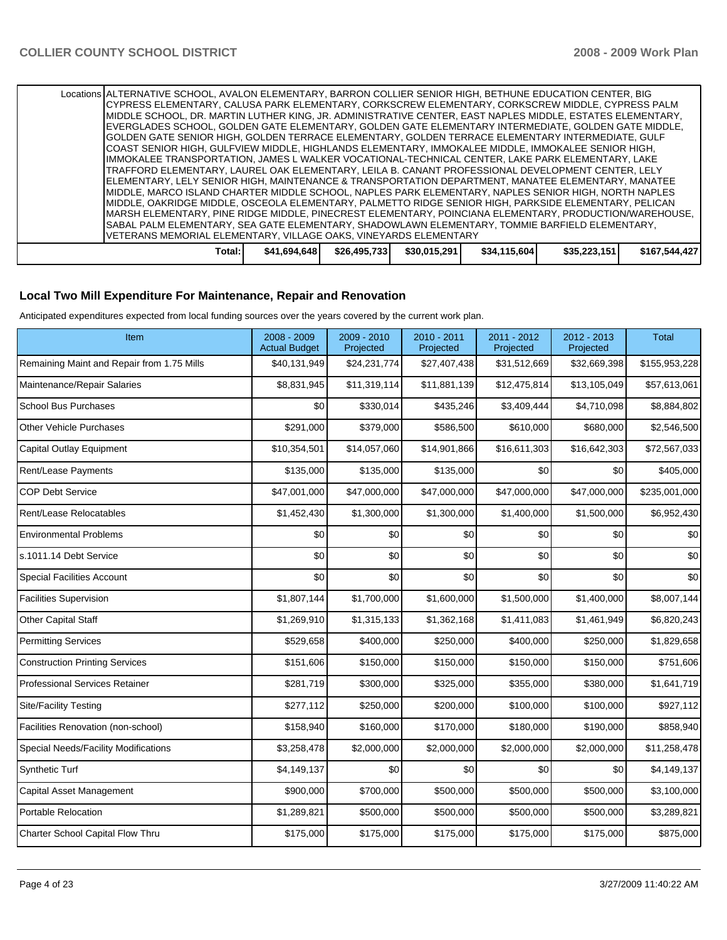| IMIDDLE, OAKRIDGE MIDDLE, OSCEOLA ELEMENTARY, PALMETTO RIDGE SENIOR HIGH, PARKSIDE ELEMENTARY, PELICAN<br>MARSH ELEMENTARY, PINE RIDGE MIDDLE, PINECREST ELEMENTARY, POINCIANA ELEMENTARY, PRODUCTION/WAREHOUSE,<br>ISABAL PALM ELEMENTARY, SEA GATE ELEMENTARY, SHADOWLAWN ELEMENTARY, TOMMIE BARFIELD ELEMENTARY,<br>VETERANS MEMORIAL ELEMENTARY, VILLAGE OAKS, VINEYARDS ELEMENTARY                                              |  |
|--------------------------------------------------------------------------------------------------------------------------------------------------------------------------------------------------------------------------------------------------------------------------------------------------------------------------------------------------------------------------------------------------------------------------------------|--|
| IELEMENTARY. LELY SENIOR HIGH. MAINTENANCE & TRANSPORTATION DEPARTMENT. MANATEE ELEMENTARY. MANATEE<br>IMIDDLE, MARCO ISLAND CHARTER MIDDLE SCHOOL, NAPLES PARK ELEMENTARY, NAPLES SENIOR HIGH, NORTH NAPLES                                                                                                                                                                                                                         |  |
| IIMMOKALEE TRANSPORTATION. JAMES L WALKER VOCATIONAL-TECHNICAL CENTER. LAKE PARK ELEMENTARY. LAKE<br>TRAFFORD ELEMENTARY, LAUREL OAK ELEMENTARY, LEILA B. CANANT PROFESSIONAL DEVELOPMENT CENTER, LELY                                                                                                                                                                                                                               |  |
| IGOLDEN GATE SENIOR HIGH. GOLDEN TERRACE ELEMENTARY. GOLDEN TERRACE ELEMENTARY INTERMEDIATE. GULF<br>ICOAST SENIOR HIGH. GULFVIEW MIDDLE. HIGHLANDS ELEMENTARY. IMMOKALEE MIDDLE. IMMOKALEE SENIOR HIGH.                                                                                                                                                                                                                             |  |
| Locations ALTERNATIVE SCHOOL, AVALON ELEMENTARY, BARRON COLLIER SENIOR HIGH, BETHUNE EDUCATION CENTER, BIG<br>ICYPRESS ELEMENTARY, CALUSA PARK ELEMENTARY, CORKSCREW ELEMENTARY, CORKSCREW MIDDLE, CYPRESS PALM<br>IMIDDLE SCHOOL. DR. MARTIN LUTHER KING. JR. ADMINISTRATIVE CENTER. EAST NAPLES MIDDLE. ESTATES ELEMENTARY.<br>EVERGLADES SCHOOL, GOLDEN GATE ELEMENTARY, GOLDEN GATE ELEMENTARY INTERMEDIATE, GOLDEN GATE MIDDLE, |  |

#### **Local Two Mill Expenditure For Maintenance, Repair and Renovation**

Anticipated expenditures expected from local funding sources over the years covered by the current work plan.

| Item                                       | 2008 - 2009<br><b>Actual Budget</b> | 2009 - 2010<br>Projected | 2010 - 2011<br>Projected | 2011 - 2012<br>Projected | 2012 - 2013<br>Projected | <b>Total</b>  |
|--------------------------------------------|-------------------------------------|--------------------------|--------------------------|--------------------------|--------------------------|---------------|
| Remaining Maint and Repair from 1.75 Mills | \$40,131,949                        | \$24,231,774             | \$27,407,438             | \$31,512,669             | \$32,669,398             | \$155,953,228 |
| Maintenance/Repair Salaries                | \$8,831,945                         | \$11,319,114             | \$11,881,139             | \$12,475,814             | \$13,105,049             | \$57,613,061  |
| <b>School Bus Purchases</b>                | \$0                                 | \$330,014                | \$435,246                | \$3,409,444              | \$4,710,098              | \$8,884,802   |
| <b>Other Vehicle Purchases</b>             | \$291,000                           | \$379,000                | \$586,500                | \$610,000                | \$680,000                | \$2,546,500   |
| <b>Capital Outlay Equipment</b>            | \$10,354,501                        | \$14,057,060             | \$14,901,866             | \$16,611,303             | \$16,642,303             | \$72,567,033  |
| Rent/Lease Payments                        | \$135,000                           | \$135,000                | \$135,000                | \$0                      | \$0                      | \$405,000     |
| <b>COP Debt Service</b>                    | \$47,001,000                        | \$47,000,000             | \$47,000,000             | \$47,000,000             | \$47,000,000             | \$235,001,000 |
| Rent/Lease Relocatables                    | \$1,452,430                         | \$1,300,000              | \$1,300,000              | \$1,400,000              | \$1,500,000              | \$6,952,430   |
| <b>Environmental Problems</b>              | \$0                                 | \$0                      | \$0                      | \$0                      | \$0                      | \$0           |
| s.1011.14 Debt Service                     | \$0                                 | \$0                      | \$0                      | \$0                      | \$0                      | \$0           |
| <b>Special Facilities Account</b>          | \$0                                 | \$0                      | \$0                      | \$0                      | \$0                      | \$0           |
| <b>Facilities Supervision</b>              | \$1,807,144                         | \$1,700,000              | \$1,600,000              | \$1,500,000              | \$1,400,000              | \$8,007,144   |
| Other Capital Staff                        | \$1,269,910                         | \$1,315,133              | \$1,362,168              | \$1,411,083              | \$1,461,949              | \$6,820,243   |
| <b>Permitting Services</b>                 | \$529,658                           | \$400,000                | \$250,000                | \$400,000                | \$250,000                | \$1,829,658   |
| <b>Construction Printing Services</b>      | \$151,606                           | \$150,000                | \$150,000                | \$150,000                | \$150,000                | \$751,606     |
| <b>Professional Services Retainer</b>      | \$281,719                           | \$300,000                | \$325,000                | \$355,000                | \$380,000                | \$1,641,719   |
| <b>Site/Facility Testing</b>               | \$277,112                           | \$250,000                | \$200,000                | \$100,000                | \$100,000                | \$927,112     |
| Facilities Renovation (non-school)         | \$158,940                           | \$160,000                | \$170,000                | \$180,000                | \$190,000                | \$858,940     |
| Special Needs/Facility Modifications       | \$3,258,478                         | \$2,000,000              | \$2,000,000              | \$2,000,000              | \$2,000,000              | \$11,258,478  |
| <b>Synthetic Turf</b>                      | \$4,149,137                         | \$0                      | \$0                      | \$0                      | \$0                      | \$4,149,137   |
| Capital Asset Management                   | \$900,000                           | \$700,000                | \$500,000                | \$500,000                | \$500,000                | \$3,100,000   |
| Portable Relocation                        | \$1,289,821                         | \$500,000                | \$500,000                | \$500,000                | \$500,000                | \$3,289,821   |
| Charter School Capital Flow Thru           | \$175,000                           | \$175,000                | \$175,000                | \$175,000                | \$175,000                | \$875,000     |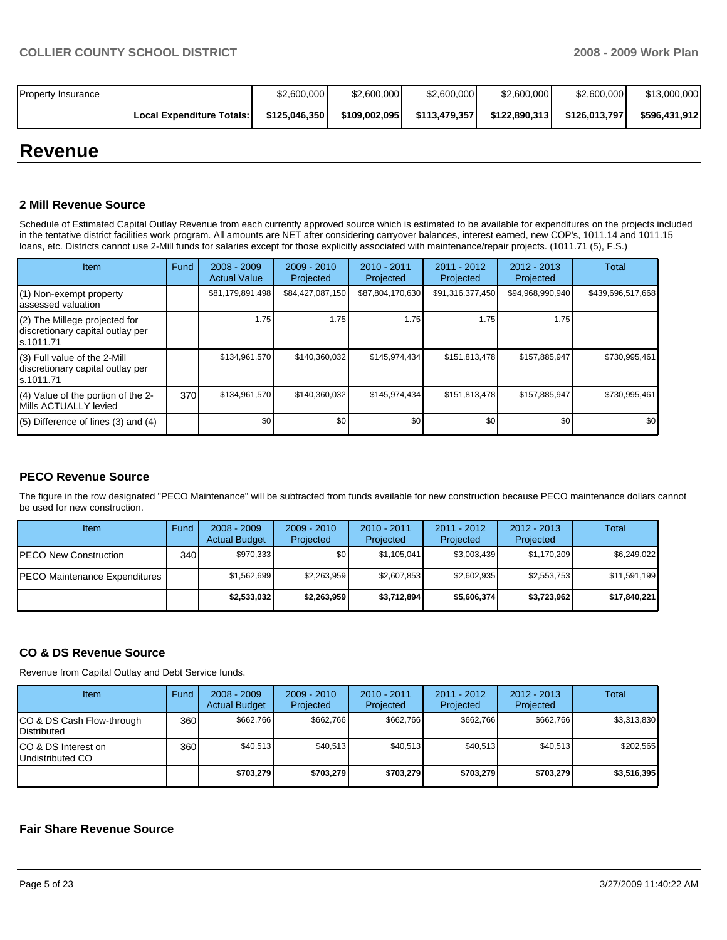| <b>Property Insurance</b>        | \$2,600,000   | \$2,600,000   | \$2,600,000   | \$2,600,000   | \$2,600,000   | \$13,000,000  |
|----------------------------------|---------------|---------------|---------------|---------------|---------------|---------------|
| <b>Local Expenditure Totals:</b> | \$125.046.350 | \$109,002,095 | \$113,479,357 | \$122.890.313 | \$126,013,797 | \$596.431.912 |

# **Revenue**

#### **2 Mill Revenue Source**

Schedule of Estimated Capital Outlay Revenue from each currently approved source which is estimated to be available for expenditures on the projects included in the tentative district facilities work program. All amounts are NET after considering carryover balances, interest earned, new COP's, 1011.14 and 1011.15 loans, etc. Districts cannot use 2-Mill funds for salaries except for those explicitly associated with maintenance/repair projects. (1011.71 (5), F.S.)

| Item                                                                            | Fund | $2008 - 2009$<br><b>Actual Value</b> | $2009 - 2010$<br>Projected | $2010 - 2011$<br>Projected | $2011 - 2012$<br>Projected | $2012 - 2013$<br>Projected | <b>Total</b>      |
|---------------------------------------------------------------------------------|------|--------------------------------------|----------------------------|----------------------------|----------------------------|----------------------------|-------------------|
| (1) Non-exempt property<br>assessed valuation                                   |      | \$81,179,891,498                     | \$84,427,087,150           | \$87,804,170,630           | \$91,316,377,450           | \$94,968,990,940           | \$439,696,517,668 |
| (2) The Millege projected for<br>discretionary capital outlay per<br>ls.1011.71 |      | 1.75                                 | 1.75                       | 1.75                       | 1.75                       | 1.75                       |                   |
| (3) Full value of the 2-Mill<br>discretionary capital outlay per<br>s.1011.71   |      | \$134,961,570                        | \$140,360,032              | \$145,974,434              | \$151,813,478              | \$157,885,947              | \$730,995,461     |
| (4) Value of the portion of the 2-<br>Mills ACTUALLY levied                     | 370  | \$134,961,570                        | \$140.360.032              | \$145.974.434              | \$151,813,478              | \$157,885,947              | \$730,995,461     |
| $(5)$ Difference of lines $(3)$ and $(4)$                                       |      | \$0                                  | \$0                        | \$0                        | \$0                        | \$0                        | \$0               |

### **PECO Revenue Source**

The figure in the row designated "PECO Maintenance" will be subtracted from funds available for new construction because PECO maintenance dollars cannot be used for new construction.

| <b>Item</b>                   | Fund             | $2008 - 2009$<br><b>Actual Budget</b> | $2009 - 2010$<br>Projected | $2010 - 2011$<br>Projected | 2011 - 2012<br>Projected | $2012 - 2013$<br>Projected | Total        |
|-------------------------------|------------------|---------------------------------------|----------------------------|----------------------------|--------------------------|----------------------------|--------------|
| <b>IPECO New Construction</b> | 340 <sup>1</sup> | \$970.333                             | \$0 <sub>1</sub>           | \$1,105,041                | \$3,003,439              | \$1,170,209                | \$6,249,022  |
| PECO Maintenance Expenditures |                  | \$1,562,699                           | \$2,263,959                | \$2,607,853                | \$2,602,935              | \$2,553,753                | \$11,591,199 |
|                               |                  | \$2,533,032                           | \$2,263,959                | \$3,712,894                | \$5,606,374              | \$3,723,962                | \$17,840,221 |

### **CO & DS Revenue Source**

Revenue from Capital Outlay and Debt Service funds.

| <b>Item</b>                                        | Fund | $2008 - 2009$<br><b>Actual Budget</b> | $2009 - 2010$<br>Projected | $2010 - 2011$<br>Projected | 2011 - 2012<br>Projected | $2012 - 2013$<br>Projected | Total       |
|----------------------------------------------------|------|---------------------------------------|----------------------------|----------------------------|--------------------------|----------------------------|-------------|
| ICO & DS Cash Flow-through<br><b>I</b> Distributed | 360  | \$662.766                             | \$662,766                  | \$662.766                  | \$662.766                | \$662.766                  | \$3,313,830 |
| ICO & DS Interest on<br>Undistributed CO           | 360  | \$40.513                              | \$40.513                   | \$40.513                   | \$40.513                 | \$40.513                   | \$202.565   |
|                                                    |      | \$703.279                             | \$703.279                  | \$703.279                  | \$703.279                | \$703.279                  | \$3,516,395 |

#### **Fair Share Revenue Source**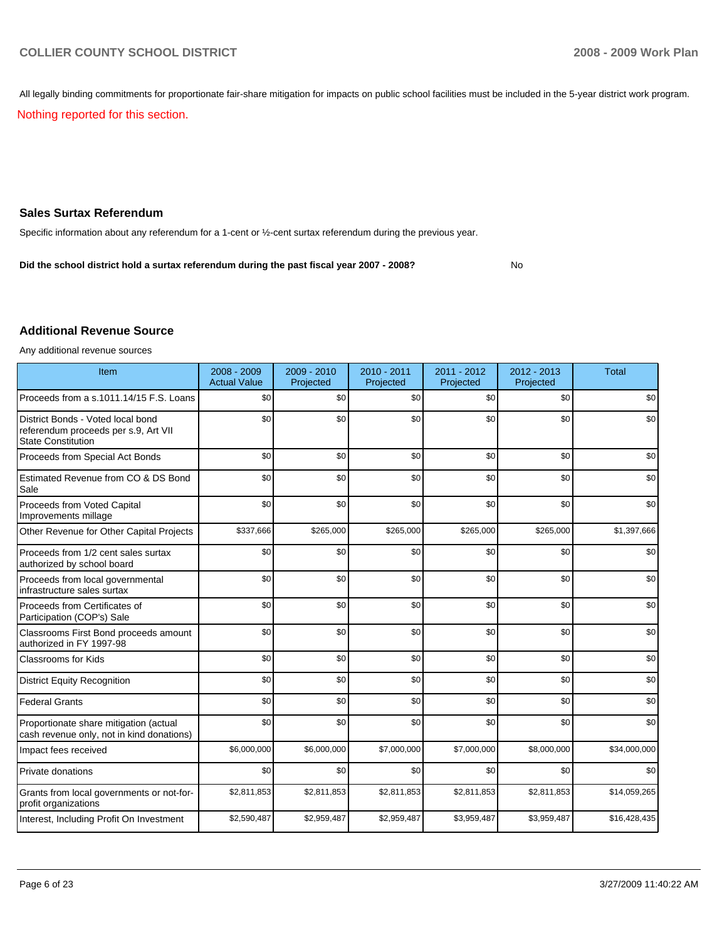All legally binding commitments for proportionate fair-share mitigation for impacts on public school facilities must be included in the 5-year district work program.

Nothing reported for this section.

#### **Sales Surtax Referendum**

Specific information about any referendum for a 1-cent or ½-cent surtax referendum during the previous year.

**Did the school district hold a surtax referendum during the past fiscal year 2007 - 2008?** No

#### **Additional Revenue Source**

Any additional revenue sources

| Item                                                                                                   | 2008 - 2009<br><b>Actual Value</b> | $2009 - 2010$<br>Projected | 2010 - 2011<br>Projected | 2011 - 2012<br>Projected | 2012 - 2013<br>Projected | <b>Total</b> |
|--------------------------------------------------------------------------------------------------------|------------------------------------|----------------------------|--------------------------|--------------------------|--------------------------|--------------|
| Proceeds from a s.1011.14/15 F.S. Loans                                                                | \$0                                | \$0                        | \$0                      | \$0                      | \$0                      | \$0          |
| District Bonds - Voted local bond<br>referendum proceeds per s.9, Art VII<br><b>State Constitution</b> | \$0                                | \$0                        | \$0                      | \$0                      | \$0                      | \$0          |
| Proceeds from Special Act Bonds                                                                        | \$0                                | \$0                        | \$0                      | \$0                      | \$0                      | \$0          |
| Estimated Revenue from CO & DS Bond<br>Sale                                                            | \$0                                | \$0                        | \$0                      | \$0                      | \$0                      | \$0          |
| <b>Proceeds from Voted Capital</b><br>Improvements millage                                             | \$0                                | \$0                        | \$0                      | \$0                      | \$0                      | \$0          |
| Other Revenue for Other Capital Projects                                                               | \$337,666                          | \$265,000                  | \$265,000                | \$265,000                | \$265,000                | \$1,397,666  |
| Proceeds from 1/2 cent sales surtax<br>authorized by school board                                      | \$0                                | \$0                        | \$0                      | \$0                      | \$0                      | \$0          |
| Proceeds from local governmental<br>infrastructure sales surtax                                        | \$0                                | \$0                        | \$0                      | \$0                      | \$0                      | \$0          |
| Proceeds from Certificates of<br>Participation (COP's) Sale                                            | \$0                                | \$0                        | \$0                      | \$0                      | \$0                      | \$0          |
| Classrooms First Bond proceeds amount<br>authorized in FY 1997-98                                      | \$0                                | \$0                        | \$0                      | \$0                      | \$0                      | \$0          |
| <b>Classrooms for Kids</b>                                                                             | \$0                                | \$0                        | \$0                      | \$0                      | \$0                      | \$0          |
| <b>District Equity Recognition</b>                                                                     | \$0                                | \$0                        | \$0                      | \$0                      | \$0                      | \$0          |
| <b>Federal Grants</b>                                                                                  | \$0                                | \$0                        | \$0                      | \$0                      | \$0                      | \$0          |
| Proportionate share mitigation (actual<br>cash revenue only, not in kind donations)                    | \$0                                | \$0                        | \$0                      | \$0                      | \$0                      | \$0          |
| Impact fees received                                                                                   | \$6,000,000                        | \$6,000,000                | \$7,000,000              | \$7,000,000              | \$8,000,000              | \$34,000,000 |
| <b>Private donations</b>                                                                               | \$0                                | \$0                        | \$0                      | \$0                      | \$0                      | \$0          |
| Grants from local governments or not-for-<br>profit organizations                                      | \$2,811,853                        | \$2,811,853                | \$2,811,853              | \$2,811,853              | \$2,811,853              | \$14,059,265 |
| Interest, Including Profit On Investment                                                               | \$2,590,487                        | \$2,959,487                | \$2,959,487              | \$3,959,487              | \$3,959,487              | \$16,428,435 |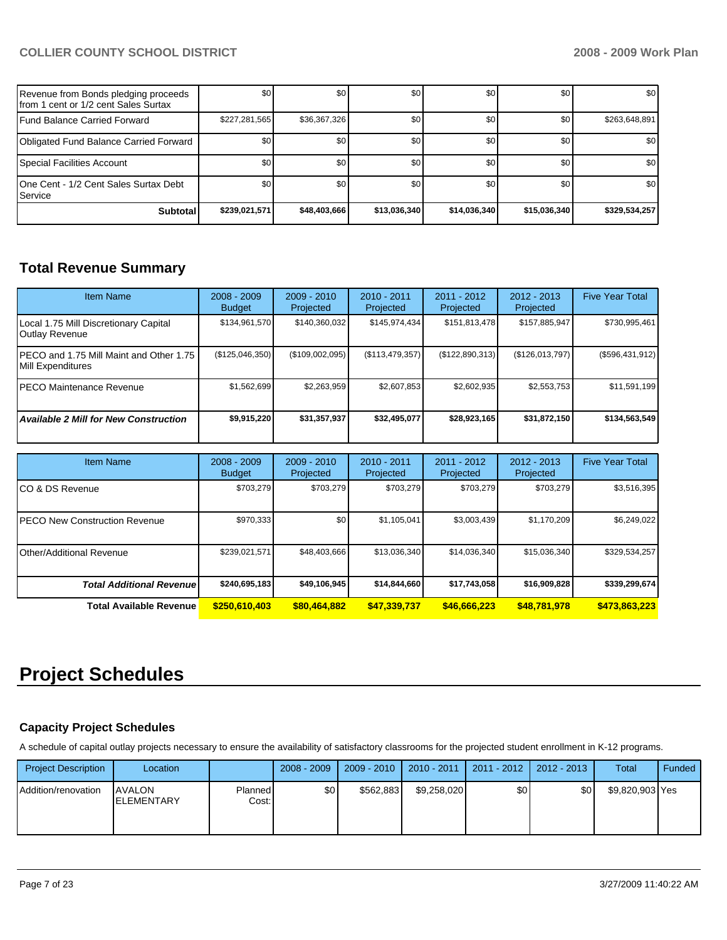| Revenue from Bonds pledging proceeds<br>Ifrom 1 cent or 1/2 cent Sales Surtax | \$0           | \$0          | \$0          | \$0              | \$0              | \$0              |
|-------------------------------------------------------------------------------|---------------|--------------|--------------|------------------|------------------|------------------|
| Fund Balance Carried Forward                                                  | \$227,281,565 | \$36,367,326 | \$0          | \$0 <sub>1</sub> | \$0              | \$263,648,891    |
| Obligated Fund Balance Carried Forward                                        | \$0           | \$0          | \$0          | \$0 <sub>1</sub> | <b>SO</b>        | \$0              |
| Special Facilities Account                                                    | \$0           | \$0          | \$0          | \$0              | \$0 <sub>1</sub> | \$0 <sub>1</sub> |
| 10ne Cent - 1/2 Cent Sales Surtax Debt<br><b>I</b> Service                    | \$0           | \$0          | \$0          | \$0              | \$0              | \$0              |
| <b>Subtotal</b>                                                               | \$239,021,571 | \$48,403,666 | \$13,036,340 | \$14,036,340     | \$15,036,340     | \$329,534,257    |

# **Total Revenue Summary**

| <b>Item Name</b>                                               | $2008 - 2009$<br><b>Budget</b> | $2009 - 2010$<br>Projected | $2010 - 2011$<br>Projected | $2011 - 2012$<br>Projected | 2012 - 2013<br>Projected | <b>Five Year Total</b> |
|----------------------------------------------------------------|--------------------------------|----------------------------|----------------------------|----------------------------|--------------------------|------------------------|
| Local 1.75 Mill Discretionary Capital<br><b>Outlay Revenue</b> | \$134,961,570                  | \$140,360,032              | \$145,974,434              | \$151,813,478              | \$157,885,947            | \$730,995,461          |
| IPECO and 1.75 Mill Maint and Other 1.75<br>Mill Expenditures  | (\$125,046,350)                | (\$109,002,095)            | (\$113,479,357)            | (\$122,890,313)            | (\$126,013,797)          | (\$596,431,912)        |
| <b>IPECO Maintenance Revenue</b>                               | \$1,562,699                    | \$2,263,959                | \$2,607,853                | \$2,602,935                | \$2,553,753              | \$11,591,199           |
| <b>Available 2 Mill for New Construction</b>                   | \$9,915,220                    | \$31,357,937               | \$32,495,077               | \$28,923,165               | \$31,872,150             | \$134,563,549          |
| <b>Item Name</b>                                               | $2008 - 2009$                  | $2009 - 2010$              | $2010 - 2011$              | $2011 - 2012$              | $2012 - 2013$            | <b>Five Year Total</b> |

| <b>Item Name</b>                      | 2008 - 2009<br><b>Budget</b> | 2009 - 2010<br>Projected | $2010 - 2011$<br>Projected | 2011 - 2012<br>Projected | $2012 - 2013$<br>Projected | <b>Five Year Total</b> |
|---------------------------------------|------------------------------|--------------------------|----------------------------|--------------------------|----------------------------|------------------------|
| ICO & DS Revenue                      | \$703.279                    | \$703.279                | \$703.279                  | \$703.279                | \$703.279                  | \$3,516,395            |
| <b>IPECO New Construction Revenue</b> | \$970,333                    | <b>SO</b>                | \$1,105,041                | \$3,003,439              | \$1,170,209                | \$6,249,022            |
| IOther/Additional Revenue             | \$239,021,571                | \$48,403,666             | \$13,036,340               | \$14,036,340             | \$15,036,340               | \$329,534,257          |
| <b>Total Additional Revenue</b>       | \$240,695,183                | \$49,106,945             | \$14,844,660               | \$17,743,058             | \$16,909,828               | \$339,299,674          |
| <b>Total Available Revenue</b>        | \$250,610,403                | \$80,464,882             | \$47,339,737               | \$46,666,223             | \$48,781,978               | \$473,863,223          |

# **Project Schedules**

### **Capacity Project Schedules**

A schedule of capital outlay projects necessary to ensure the availability of satisfactory classrooms for the projected student enrollment in K-12 programs.

| <b>Project Description</b> | Location                            |                  | $2008 - 2009$ | $2009 - 2010$ | 2010 - 2011 | 2011 - 2012 | 2012 - 2013 | Total           | Funded |
|----------------------------|-------------------------------------|------------------|---------------|---------------|-------------|-------------|-------------|-----------------|--------|
| Addition/renovation        | <b>AVALON</b><br><b>IELEMENTARY</b> | Planned<br>Cost: | \$0           | \$562.883     | \$9,258,020 | \$0         | \$0         | \$9,820,903 Yes |        |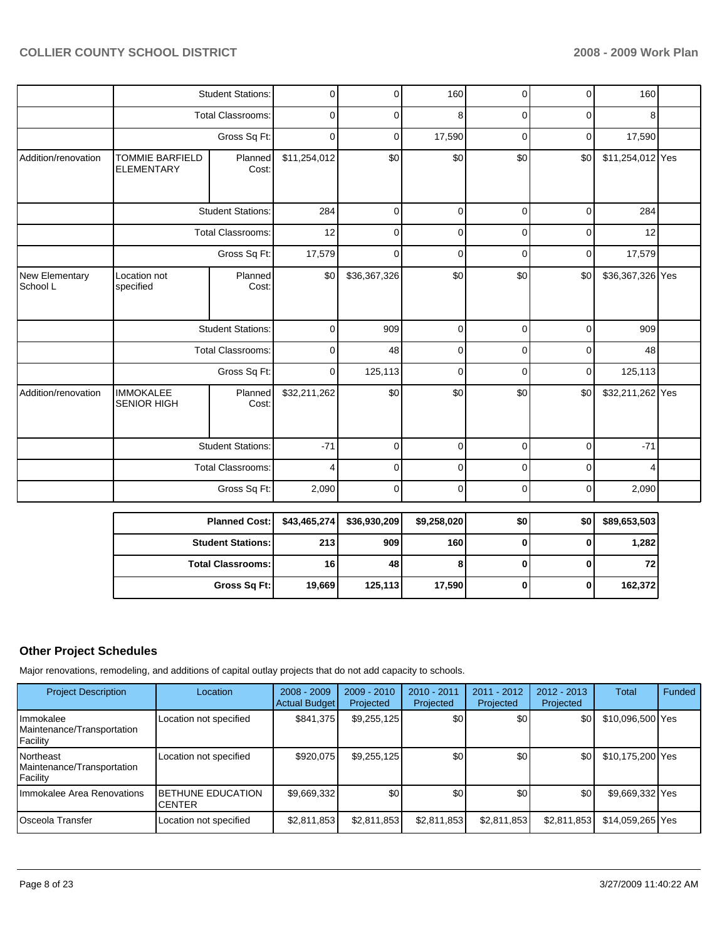|                            |                                             | <b>Student Stations:</b> | 0            | $\Omega$     | 160         | $\mathbf 0$ | $\mathbf 0$ | 160              |  |
|----------------------------|---------------------------------------------|--------------------------|--------------|--------------|-------------|-------------|-------------|------------------|--|
|                            |                                             | Total Classrooms:        | 0            | 0            | 8           | 0           | 0           | 8                |  |
|                            |                                             | Gross Sq Ft:             | 0            | 0            | 17,590      | 0           | 0           | 17,590           |  |
| Addition/renovation        | <b>TOMMIE BARFIELD</b><br><b>ELEMENTARY</b> | Planned<br>Cost:         | \$11,254,012 | \$0          | \$0         | \$0         | \$0         | \$11,254,012 Yes |  |
|                            |                                             | <b>Student Stations:</b> | 284          | 0            | 0           | $\mathbf 0$ | $\mathbf 0$ | 284              |  |
|                            |                                             | <b>Total Classrooms:</b> | 12           | 0            | 0           | 0           | $\mathbf 0$ | 12               |  |
|                            |                                             | Gross Sq Ft:             | 17,579       | 0            | 0           | 0           | 0           | 17,579           |  |
| New Elementary<br>School L | Location not<br>specified                   | Planned<br>Cost:         | \$0          | \$36,367,326 | \$0         | \$0         | \$0         | \$36,367,326 Yes |  |
|                            |                                             | <b>Student Stations:</b> | $\mathbf 0$  | 909          | $\mathbf 0$ | $\mathbf 0$ | $\mathbf 0$ | 909              |  |
|                            |                                             | Total Classrooms:        | 0            | 48           | 0           | 0           | 0           | 48               |  |
|                            |                                             | Gross Sq Ft:             | $\mathbf 0$  | 125,113      | $\mathbf 0$ | 0           | 0           | 125,113          |  |
| Addition/renovation        | <b>IMMOKALEE</b><br>SENIOR HIGH             | Planned<br>Cost:         | \$32,211,262 | \$0          | \$0         | \$0         | \$0         | \$32,211,262 Yes |  |
|                            | <b>Student Stations:</b>                    |                          | $-71$        | 0            | $\mathbf 0$ | $\mathbf 0$ | $\mathbf 0$ | $-71$            |  |
|                            |                                             | <b>Total Classrooms:</b> | 4            | 0            | 0           | 0           | 0           | 4                |  |
|                            |                                             | Gross Sq Ft:             | 2,090        | 0            | 0           | 0           | $\mathbf 0$ | 2,090            |  |

| Planned Cost:   \$43,465,274 |        | \$36,930,209 | \$9,258,020 | \$0 | \$0 | \$89,653,503 |
|------------------------------|--------|--------------|-------------|-----|-----|--------------|
| <b>Student Stations:</b>     | 213    | 909          | <b>160</b>  |     |     | 1,282        |
| <b>Total Classrooms: I</b>   | 16     | 48           |             |     |     | 72           |
| Gross Sq Ft:                 | 19,669 | 125,113      | 17,590      |     |     | 162,372      |

## **Other Project Schedules**

Major renovations, remodeling, and additions of capital outlay projects that do not add capacity to schools.

| <b>Project Description</b>                                 | Location                                  | $2008 - 2009$<br><b>Actual Budget</b> | $2009 - 2010$<br>Projected | 2010 - 2011<br>Projected | 2011 - 2012<br>Projected | $2012 - 2013$<br>Projected | Total            | Funded |
|------------------------------------------------------------|-------------------------------------------|---------------------------------------|----------------------------|--------------------------|--------------------------|----------------------------|------------------|--------|
| l Immokalee<br>Maintenance/Transportation<br>Facility      | Location not specified                    | \$841.375                             | \$9,255,125                | \$0                      | \$0                      | \$0                        | \$10,096,500 Yes |        |
| <b>Northeast</b><br>Maintenance/Transportation<br>Facility | Location not specified                    | \$920.075                             | \$9,255,125                | \$0                      | \$0                      | \$0                        | \$10,175,200 Yes |        |
| Ilmmokalee Area Renovations                                | <b>BETHUNE EDUCATION</b><br><b>CENTER</b> | \$9,669,332                           | \$0                        | \$0                      | \$0                      | \$0                        | \$9,669,332 Yes  |        |
| lOsceola Transfer                                          | Location not specified                    | \$2,811,853                           | \$2,811,853                | \$2,811,853              | \$2,811,853              | \$2,811,853                | \$14,059,265 Yes |        |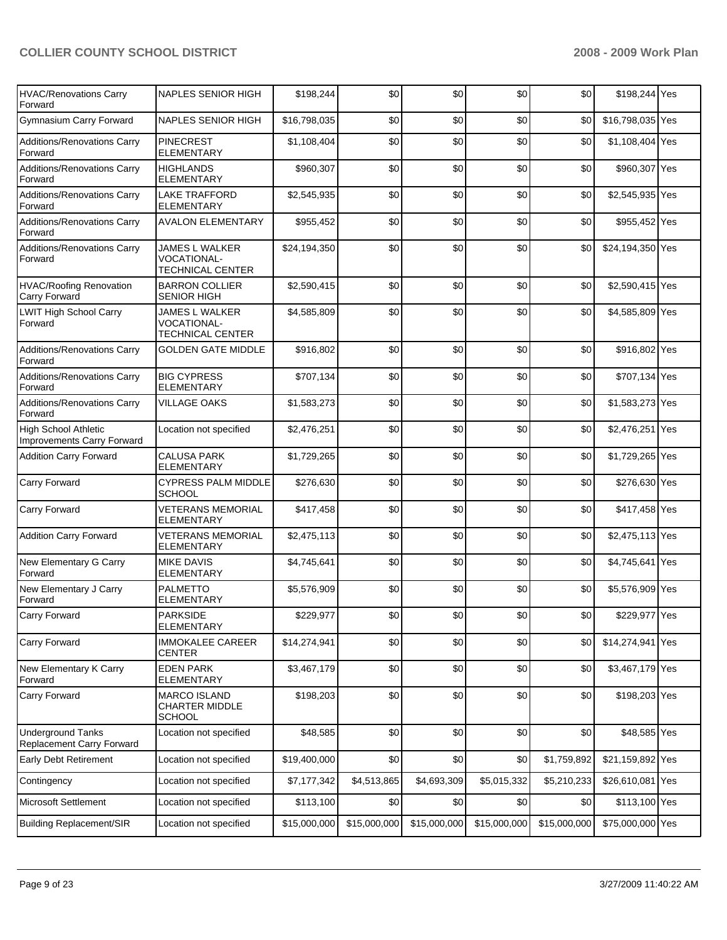| <b>HVAC/Renovations Carry</b><br>Forward              | NAPLES SENIOR HIGH                                              | \$198,244    | \$0          | \$0          | \$0          | \$0          | \$198,244 Yes    |     |
|-------------------------------------------------------|-----------------------------------------------------------------|--------------|--------------|--------------|--------------|--------------|------------------|-----|
| <b>Gymnasium Carry Forward</b>                        | <b>NAPLES SENIOR HIGH</b>                                       | \$16,798,035 | \$0          | \$0          | \$0          | \$0          | \$16,798,035 Yes |     |
| Additions/Renovations Carry<br>Forward                | <b>PINECREST</b><br><b>ELEMENTARY</b>                           | \$1,108,404  | \$0          | \$0          | \$0          | \$0          | \$1,108,404 Yes  |     |
| Additions/Renovations Carry<br>Forward                | <b>HIGHLANDS</b><br><b>ELEMENTARY</b>                           | \$960,307    | \$0          | \$0          | \$0          | \$0          | \$960,307 Yes    |     |
| Additions/Renovations Carry<br>Forward                | <b>LAKE TRAFFORD</b><br>ELEMENTARY                              | \$2,545,935  | \$0          | \$0          | \$0          | \$0          | \$2,545,935 Yes  |     |
| Additions/Renovations Carry<br>Forward                | <b>AVALON ELEMENTARY</b>                                        | \$955,452    | \$0          | \$0          | \$0          | \$0          | \$955,452 Yes    |     |
| Additions/Renovations Carry<br>Forward                | JAMES L WALKER<br><b>VOCATIONAL-</b><br><b>TECHNICAL CENTER</b> | \$24,194,350 | \$0          | \$0          | \$0          | \$0          | \$24,194,350 Yes |     |
| <b>HVAC/Roofing Renovation</b><br>Carry Forward       | <b>BARRON COLLIER</b><br><b>SENIOR HIGH</b>                     | \$2,590,415  | \$0          | \$0          | \$0          | \$0          | \$2,590,415 Yes  |     |
| <b>LWIT High School Carry</b><br>Forward              | JAMES L WALKER<br><b>VOCATIONAL-</b><br><b>TECHNICAL CENTER</b> | \$4,585,809  | \$0          | \$0          | \$0          | \$0          | \$4,585,809 Yes  |     |
| Additions/Renovations Carry<br>Forward                | <b>GOLDEN GATE MIDDLE</b>                                       | \$916,802    | \$0          | \$0          | \$0          | \$0          | \$916,802 Yes    |     |
| Additions/Renovations Carry<br>Forward                | <b>BIG CYPRESS</b><br><b>ELEMENTARY</b>                         | \$707,134    | \$0          | \$0          | \$0          | \$0          | \$707,134 Yes    |     |
| Additions/Renovations Carry<br>Forward                | <b>VILLAGE OAKS</b>                                             | \$1,583,273  | \$0          | \$0          | \$0          | \$0          | \$1,583,273 Yes  |     |
| High School Athletic<br>Improvements Carry Forward    | Location not specified                                          | \$2,476,251  | \$0          | \$0          | \$0          | \$0          | \$2,476,251 Yes  |     |
| <b>Addition Carry Forward</b>                         | <b>CALUSA PARK</b><br><b>ELEMENTARY</b>                         | \$1,729,265  | \$0          | \$0          | \$0          | \$0          | \$1,729,265 Yes  |     |
| Carry Forward                                         | <b>CYPRESS PALM MIDDLE</b><br>SCHOOL                            | \$276,630    | \$0          | \$0          | \$0          | \$0          | \$276,630 Yes    |     |
| Carry Forward                                         | <b>VETERANS MEMORIAL</b><br>ELEMENTARY                          | \$417,458    | \$0          | \$0          | \$0          | \$0          | \$417,458 Yes    |     |
| <b>Addition Carry Forward</b>                         | <b>VETERANS MEMORIAL</b><br><b>ELEMENTARY</b>                   | \$2,475,113  | \$0          | \$0          | \$0          | \$0          | \$2,475,113 Yes  |     |
| New Elementary G Carry<br>Forward                     | <b>MIKE DAVIS</b><br><b>ELEMENTARY</b>                          | \$4,745,641  | \$0          | \$0          | \$0          | \$0          | \$4,745,641 Yes  |     |
| New Elementary J Carry<br>Forward                     | <b>PALMETTO</b><br>ELEMENTARY                                   | \$5,576,909  | \$0          | \$0          | \$0          | \$0          | \$5,576,909 Yes  |     |
| Carry Forward                                         | <b>PARKSIDE</b><br>ELEMENTARY                                   | \$229,977    | \$0          | \$0          | \$0          | $\$0$        | \$229,977 Yes    |     |
| <b>Carry Forward</b>                                  | <b>IMMOKALEE CAREER</b><br><b>CENTER</b>                        | \$14,274,941 | \$0          | \$0          | \$0          | \$0          | \$14,274,941     | Yes |
| New Elementary K Carry<br>Forward                     | <b>EDEN PARK</b><br>ELEMENTARY                                  | \$3,467,179  | \$0          | \$0          | \$0          | \$0          | \$3,467,179 Yes  |     |
| Carry Forward                                         | <b>MARCO ISLAND</b><br><b>CHARTER MIDDLE</b><br><b>SCHOOL</b>   | \$198,203    | \$0          | \$0          | \$0          | \$0          | \$198,203 Yes    |     |
| <b>Underground Tanks</b><br>Replacement Carry Forward | Location not specified                                          | \$48,585     | \$0          | \$0          | \$0          | \$0          | \$48,585 Yes     |     |
| Early Debt Retirement                                 | Location not specified                                          | \$19,400,000 | \$0          | \$0          | \$0          | \$1,759,892  | \$21,159,892 Yes |     |
| Contingency                                           | Location not specified                                          | \$7,177,342  | \$4,513,865  | \$4,693,309  | \$5,015,332  | \$5,210,233  | \$26,610,081 Yes |     |
| <b>Microsoft Settlement</b>                           | Location not specified                                          | \$113,100    | \$0          | \$0          | \$0          | \$0          | \$113,100 Yes    |     |
| <b>Building Replacement/SIR</b>                       | Location not specified                                          | \$15,000,000 | \$15,000,000 | \$15,000,000 | \$15,000,000 | \$15,000,000 | \$75,000,000 Yes |     |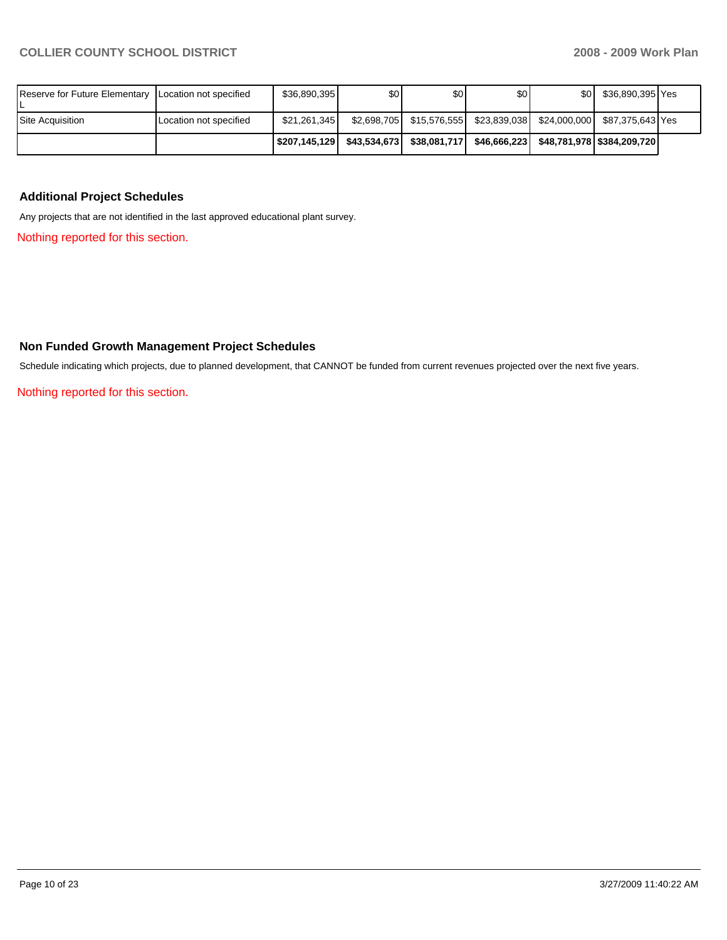| Reserve for Future Elementary   Location not specified |                        | \$36,890,395 | \$0 <sub>1</sub> | \$0                                                                           | \$0 | \$0 <sub>1</sub> | \$36,890,395 Yes |  |
|--------------------------------------------------------|------------------------|--------------|------------------|-------------------------------------------------------------------------------|-----|------------------|------------------|--|
| Site Acquisition                                       | Location not specified | \$21.261.345 |                  | \$2,698,705   \$15,576,555   \$23,839,038   \$24,000,000   \$87,375,643   Yes |     |                  |                  |  |
|                                                        |                        | S207.145.129 |                  |                                                                               |     |                  |                  |  |

#### **Additional Project Schedules**

Any projects that are not identified in the last approved educational plant survey.

Nothing reported for this section.

### **Non Funded Growth Management Project Schedules**

Schedule indicating which projects, due to planned development, that CANNOT be funded from current revenues projected over the next five years.

Nothing reported for this section.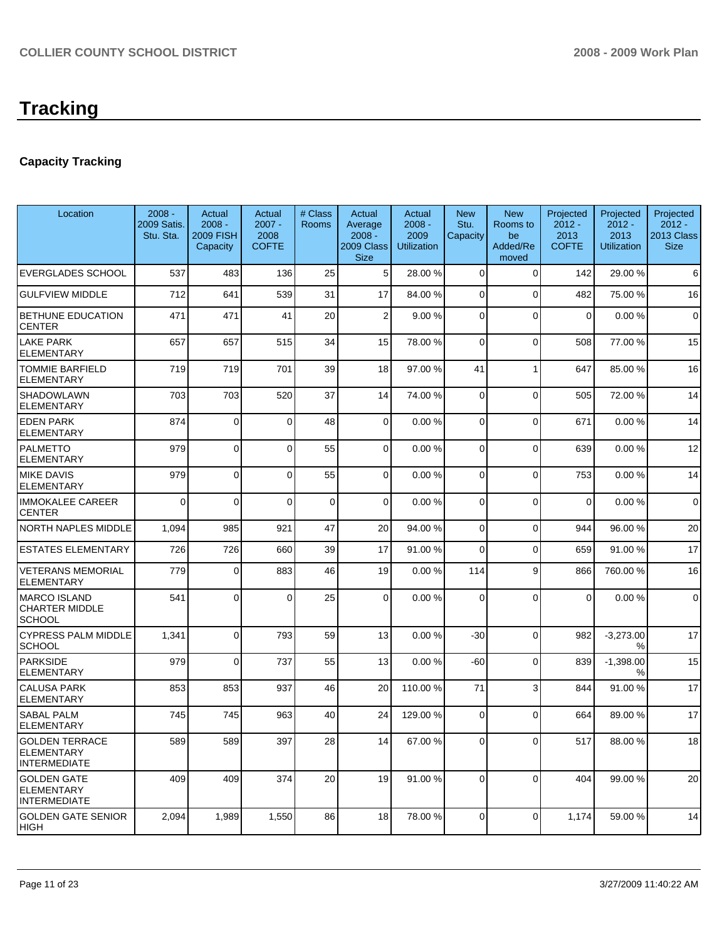## **Capacity Tracking**

| Location                                                          | $2008 -$<br>2009 Satis.<br>Stu. Sta. | Actual<br>$2008 -$<br><b>2009 FISH</b><br>Capacity | Actual<br>$2007 -$<br>2008<br><b>COFTE</b> | # Class<br><b>Rooms</b> | Actual<br>Average<br>$2008 -$<br>2009 Class<br><b>Size</b> | Actual<br>$2008 -$<br>2009<br><b>Utilization</b> | <b>New</b><br>Stu.<br>Capacity | <b>New</b><br>Rooms to<br>be<br>Added/Re<br>moved | Projected<br>$2012 -$<br>2013<br><b>COFTE</b> | Projected<br>$2012 -$<br>2013<br><b>Utilization</b> | Projected<br>$2012 -$<br>2013 Class<br><b>Size</b> |
|-------------------------------------------------------------------|--------------------------------------|----------------------------------------------------|--------------------------------------------|-------------------------|------------------------------------------------------------|--------------------------------------------------|--------------------------------|---------------------------------------------------|-----------------------------------------------|-----------------------------------------------------|----------------------------------------------------|
| <b>EVERGLADES SCHOOL</b>                                          | 537                                  | 483                                                | 136                                        | 25                      | 5                                                          | 28.00 %                                          | $\mathbf 0$                    | $\mathbf 0$                                       | 142                                           | 29.00 %                                             | 6                                                  |
| <b>GULFVIEW MIDDLE</b>                                            | 712                                  | 641                                                | 539                                        | 31                      | 17                                                         | 84.00 %                                          | $\overline{0}$                 | $\mathbf 0$                                       | 482                                           | 75.00 %                                             | 16                                                 |
| BETHUNE EDUCATION<br><b>CENTER</b>                                | 471                                  | 471                                                | 41                                         | 20                      | $\overline{2}$                                             | 9.00 %                                           | 0                              | $\Omega$                                          | $\mathbf 0$                                   | 0.00%                                               | $\mathbf 0$                                        |
| <b>LAKE PARK</b><br><b>ELEMENTARY</b>                             | 657                                  | 657                                                | 515                                        | 34                      | 15                                                         | 78.00 %                                          | $\Omega$                       | $\Omega$                                          | 508                                           | 77.00 %                                             | 15                                                 |
| TOMMIE BARFIELD<br>ELEMENTARY                                     | 719                                  | 719                                                | 701                                        | 39                      | 18                                                         | 97.00 %                                          | 41                             | 1                                                 | 647                                           | 85.00 %                                             | 16                                                 |
| SHADOWLAWN<br>ELEMENTARY                                          | 703                                  | 703                                                | 520                                        | 37                      | 14                                                         | 74.00 %                                          | $\Omega$                       | $\Omega$                                          | 505                                           | 72.00 %                                             | 14                                                 |
| <b>EDEN PARK</b><br><b>ELEMENTARY</b>                             | 874                                  | $\Omega$                                           | $\Omega$                                   | 48                      | $\Omega$                                                   | 0.00%                                            | $\Omega$                       | $\Omega$                                          | 671                                           | 0.00%                                               | 14                                                 |
| <b>PALMETTO</b><br><b>ELEMENTARY</b>                              | 979                                  | 0                                                  | $\Omega$                                   | 55                      | $\Omega$                                                   | 0.00%                                            | $\Omega$                       | $\Omega$                                          | 639                                           | 0.00%                                               | 12                                                 |
| <b>MIKE DAVIS</b><br><b>ELEMENTARY</b>                            | 979                                  | $\Omega$                                           | $\Omega$                                   | 55                      | $\overline{0}$                                             | 0.00%                                            | 0                              | $\Omega$                                          | 753                                           | 0.00%                                               | 14                                                 |
| <b>IMMOKALEE CAREER</b><br><b>CENTER</b>                          | $\Omega$                             | $\Omega$                                           | $\Omega$                                   | $\Omega$                | $\Omega$                                                   | 0.00%                                            | $\Omega$                       | $\Omega$                                          | $\overline{0}$                                | 0.00%                                               | $\mathbf 0$                                        |
| <b>NORTH NAPLES MIDDLE</b>                                        | 1,094                                | 985                                                | 921                                        | 47                      | 20                                                         | 94.00 %                                          | $\Omega$                       | $\Omega$                                          | 944                                           | 96.00 %                                             | 20                                                 |
| <b>ESTATES ELEMENTARY</b>                                         | 726                                  | 726                                                | 660                                        | 39                      | 17                                                         | 91.00 %                                          | 0                              | $\Omega$                                          | 659                                           | 91.00 %                                             | 17                                                 |
| <b>VETERANS MEMORIAL</b><br><b>ELEMENTARY</b>                     | 779                                  | $\Omega$                                           | 883                                        | 46                      | 19                                                         | 0.00%                                            | 114                            | 9                                                 | 866                                           | 760.00%                                             | 16                                                 |
| <b>MARCO ISLAND</b><br><b>CHARTER MIDDLE</b><br>SCHOOL            | 541                                  | $\Omega$                                           | $\Omega$                                   | 25                      | $\Omega$                                                   | 0.00%                                            | $\Omega$                       | $\Omega$                                          | $\Omega$                                      | 0.00%                                               | $\mathbf 0$                                        |
| <b>CYPRESS PALM MIDDLE</b><br><b>SCHOOL</b>                       | 1,341                                | $\Omega$                                           | 793                                        | 59                      | 13                                                         | 0.00%                                            | $-30$                          | $\Omega$                                          | 982                                           | $-3,273.00$<br>%                                    | 17                                                 |
| <b>PARKSIDE</b><br><b>ELEMENTARY</b>                              | 979                                  | $\Omega$                                           | 737                                        | 55                      | 13                                                         | 0.00%                                            | -60                            | $\Omega$                                          | 839                                           | $-1,398.00$<br>%                                    | 15                                                 |
| <b>CALUSA PARK</b><br><b>ELEMENTARY</b>                           | 853                                  | 853                                                | 937                                        | 46                      | 20                                                         | 110.00 %                                         | 71                             | 3                                                 | 844                                           | 91.00 %                                             | 17                                                 |
| <b>SABAL PALM</b><br><b>ELEMENTARY</b>                            | 745                                  | 745                                                | 963                                        | 40                      | 24                                                         | 129.00 %                                         | $\Omega$                       | $\Omega$                                          | 664                                           | 89.00 %                                             | 17                                                 |
| <b>GOLDEN TERRACE</b><br><b>ELEMENTARY</b><br><b>INTERMEDIATE</b> | 589                                  | 589                                                | 397                                        | 28                      | 14                                                         | 67.00 %                                          | $\overline{0}$                 | $\overline{0}$                                    | 517                                           | 88.00 %                                             | 18                                                 |
| <b>GOLDEN GATE</b><br><b>ELEMENTARY</b><br><b>INTERMEDIATE</b>    | 409                                  | 409                                                | 374                                        | 20                      | 19 <sup>1</sup>                                            | 91.00 %                                          | $\Omega$                       | $\Omega$                                          | 404                                           | 99.00 %                                             | 20                                                 |
| GOLDEN GATE SENIOR<br><b>HIGH</b>                                 | 2,094                                | 1,989                                              | 1,550                                      | 86                      | 18                                                         | 78.00 %                                          | $\overline{0}$                 | $\mathbf 0$                                       | 1,174                                         | 59.00 %                                             | 14                                                 |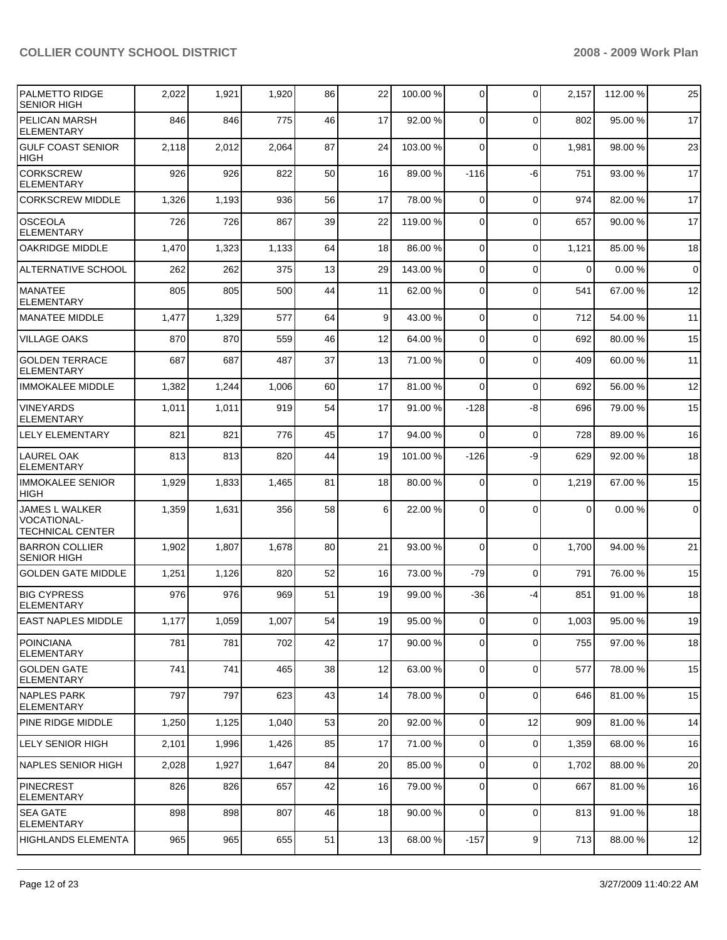| <b>IPALMETTO RIDGE</b><br><b>SENIOR HIGH</b>                           | 2,022 | 1,921 | 1,920 | 86 | 22 | 100.00 % | $\mathbf 0$    | $\Omega$       | 2,157          | 112.00 % | 25             |
|------------------------------------------------------------------------|-------|-------|-------|----|----|----------|----------------|----------------|----------------|----------|----------------|
| PELICAN MARSH<br><b>ELEMENTARY</b>                                     | 846   | 846   | 775   | 46 | 17 | 92.00 %  | $\Omega$       | $\Omega$       | 802            | 95.00 %  | 17             |
| <b>GULF COAST SENIOR</b><br><b>HIGH</b>                                | 2,118 | 2,012 | 2,064 | 87 | 24 | 103.00 % | $\Omega$       | 0              | 1,981          | 98.00 %  | 23             |
| <b>CORKSCREW</b><br><b>ELEMENTARY</b>                                  | 926   | 926   | 822   | 50 | 16 | 89.00 %  | $-116$         | -6             | 751            | 93.00 %  | 17             |
| <b>CORKSCREW MIDDLE</b>                                                | 1,326 | 1,193 | 936   | 56 | 17 | 78.00 %  | $\Omega$       | $\mathbf 0$    | 974            | 82.00 %  | 17             |
| <b>OSCEOLA</b><br><b>ELEMENTARY</b>                                    | 726   | 726   | 867   | 39 | 22 | 119.00 % | $\Omega$       | $\Omega$       | 657            | 90.00 %  | 17             |
| <b>OAKRIDGE MIDDLE</b>                                                 | 1,470 | 1,323 | 1,133 | 64 | 18 | 86.00 %  | $\Omega$       | 0              | 1,121          | 85.00 %  | 18             |
| <b>ALTERNATIVE SCHOOL</b>                                              | 262   | 262   | 375   | 13 | 29 | 143.00 % | $\Omega$       | $\Omega$       | $\Omega$       | 0.00%    | $\overline{0}$ |
| MANATEE<br><b>ELEMENTARY</b>                                           | 805   | 805   | 500   | 44 | 11 | 62.00 %  | $\Omega$       | $\Omega$       | 541            | 67.00 %  | 12             |
| <b>MANATEE MIDDLE</b>                                                  | 1,477 | 1,329 | 577   | 64 | 9  | 43.00 %  | $\Omega$       | 0              | 712            | 54.00 %  | 11             |
| <b>VILLAGE OAKS</b>                                                    | 870   | 870   | 559   | 46 | 12 | 64.00%   | $\mathbf 0$    | 0              | 692            | 80.00 %  | 15             |
| <b>GOLDEN TERRACE</b><br><b>ELEMENTARY</b>                             | 687   | 687   | 487   | 37 | 13 | 71.00 %  | $\Omega$       | $\Omega$       | 409            | 60.00 %  | 11             |
| <b>IMMOKALEE MIDDLE</b>                                                | 1,382 | 1,244 | 1,006 | 60 | 17 | 81.00%   | $\Omega$       | $\Omega$       | 692            | 56.00 %  | 12             |
| <b>VINEYARDS</b><br><b>ELEMENTARY</b>                                  | 1,011 | 1,011 | 919   | 54 | 17 | 91.00 %  | $-128$         | -8             | 696            | 79.00 %  | 15             |
| <b>LELY ELEMENTARY</b>                                                 | 821   | 821   | 776   | 45 | 17 | 94.00 %  | $\Omega$       | $\mathbf 0$    | 728            | 89.00 %  | 16             |
| <b>LAUREL OAK</b><br><b>ELEMENTARY</b>                                 | 813   | 813   | 820   | 44 | 19 | 101.00 % | $-126$         | -9             | 629            | 92.00 %  | 18             |
| <b>IMMOKALEE SENIOR</b><br><b>HIGH</b>                                 | 1,929 | 1,833 | 1,465 | 81 | 18 | 80.00 %  | $\Omega$       | $\mathbf 0$    | 1,219          | 67.00 %  | 15             |
| <b>JAMES L WALKER</b><br><b>VOCATIONAL-</b><br><b>TECHNICAL CENTER</b> | 1,359 | 1,631 | 356   | 58 | 6  | 22.00 %  | 0              | $\Omega$       | $\overline{0}$ | 0.00%    | $\overline{0}$ |
| <b>BARRON COLLIER</b><br><b>SENIOR HIGH</b>                            | 1,902 | 1,807 | 1,678 | 80 | 21 | 93.00 %  | $\Omega$       | $\Omega$       | 1,700          | 94.00 %  | 21             |
| <b>GOLDEN GATE MIDDLE</b>                                              | 1,251 | 1,126 | 820   | 52 | 16 | 73.00 %  | -79            | 0              | 791            | 76.00 %  | 15             |
| <b>BIG CYPRESS</b><br><b>ELEMENTARY</b>                                | 976   | 976   | 969   | 51 | 19 | 99.00 %  | $-36$          | -4             | 851            | 91.00 %  | 18             |
| EAST NAPLES MIDDLE                                                     | 1,177 | 1,059 | 1,007 | 54 | 19 | 95.00 %  | $\overline{0}$ | $\overline{0}$ | 1,003          | 95.00 %  | 19             |
| <b>POINCIANA</b><br><b>ELEMENTARY</b>                                  | 781   | 781   | 702   | 42 | 17 | 90.00 %  | 0              | $\mathbf 0$    | 755            | 97.00 %  | 18             |
| <b>GOLDEN GATE</b><br><b>ELEMENTARY</b>                                | 741   | 741   | 465   | 38 | 12 | 63.00 %  | $\mathbf 0$    | $\mathbf 0$    | 577            | 78.00 %  | 15             |
| <b>NAPLES PARK</b><br>ELEMENTARY                                       | 797   | 797   | 623   | 43 | 14 | 78.00 %  | $\mathbf 0$    | $\mathbf 0$    | 646            | 81.00 %  | 15             |
| <b>PINE RIDGE MIDDLE</b>                                               | 1,250 | 1,125 | 1,040 | 53 | 20 | 92.00 %  | $\overline{0}$ | 12             | 909            | 81.00 %  | 14             |
| <b>LELY SENIOR HIGH</b>                                                | 2,101 | 1,996 | 1,426 | 85 | 17 | 71.00 %  | $\mathbf 0$    | $\mathbf 0$    | 1,359          | 68.00 %  | 16             |
| <b>NAPLES SENIOR HIGH</b>                                              | 2,028 | 1,927 | 1,647 | 84 | 20 | 85.00 %  | $\mathbf 0$    | 0              | 1,702          | 88.00 %  | 20             |
| PINECREST<br><b>ELEMENTARY</b>                                         | 826   | 826   | 657   | 42 | 16 | 79.00 %  | $\mathbf 0$    | 0              | 667            | 81.00 %  | 16             |
| <b>SEA GATE</b><br><b>ELEMENTARY</b>                                   | 898   | 898   | 807   | 46 | 18 | 90.00 %  | $\mathbf 0$    | $\mathbf 0$    | 813            | 91.00 %  | 18             |
| HIGHLANDS ELEMENTA                                                     | 965   | 965   | 655   | 51 | 13 | 68.00 %  | $-157$         | 9              | 713            | 88.00 %  | 12             |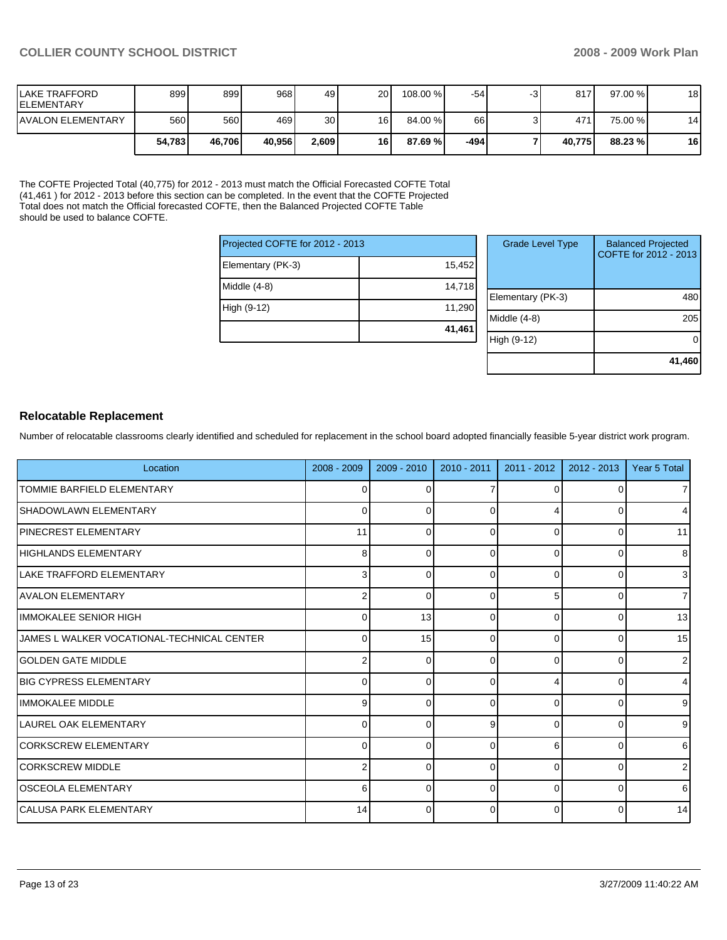| llake TRAFFORD<br><b>IELEMENTARY</b> | 899    | 8991   | 9681   | 49    | 20 <sub>1</sub> | 108.00 %  | $-54$ | 817    | $97.00 \%$ | 18 |
|--------------------------------------|--------|--------|--------|-------|-----------------|-----------|-------|--------|------------|----|
| <b>IAVALON ELEMENTARY</b>            | 560    | 560 l  | 469    | 30    | 16              | 84.00 %   | 66    | 471    | 75.00 %    | 14 |
|                                      | 54.783 | 46.706 | 40.956 | 2,609 | 16              | 87.69 % I | -494  | 40.775 | 88.23 %    | 16 |

The COFTE Projected Total (40,775) for 2012 - 2013 must match the Official Forecasted COFTE Total (41,461 ) for 2012 - 2013 before this section can be completed. In the event that the COFTE Projected Total does not match the Official forecasted COFTE, then the Balanced Projected COFTE Table should be used to balance COFTE.

| Projected COFTE for 2012 - 2013 |        |
|---------------------------------|--------|
| Elementary (PK-3)               | 15,452 |
| Middle (4-8)                    | 14,718 |
| High (9-12)                     | 11,290 |
|                                 | 41,461 |

| <b>Grade Level Type</b> | <b>Balanced Projected</b><br>COFTE for 2012 - 2013 |
|-------------------------|----------------------------------------------------|
| Elementary (PK-3)       | 48                                                 |
| Middle $(4-8)$          | 205                                                |
| High (9-12)             |                                                    |
|                         | 41,460                                             |

#### **Relocatable Replacement**

Number of relocatable classrooms clearly identified and scheduled for replacement in the school board adopted financially feasible 5-year district work program.

| Location                                   | 2008 - 2009    | $2009 - 2010$ | $2010 - 2011$ | $2011 - 2012$ | $2012 - 2013$ | Year 5 Total   |
|--------------------------------------------|----------------|---------------|---------------|---------------|---------------|----------------|
| TOMMIE BARFIELD ELEMENTARY                 | 0              |               |               | 0             |               | 7 <sup>1</sup> |
| <b>SHADOWLAWN ELEMENTARY</b>               | 0              |               | $\Omega$      |               |               | $\overline{4}$ |
| <b>IPINECREST ELEMENTARY</b>               | 11             |               | $\Omega$      | 0             | O             | 11             |
| HIGHLANDS ELEMENTARY                       | 8              | ſ             | $\Omega$      | 0             | 0             | 8 <sup>1</sup> |
| <b>ILAKE TRAFFORD ELEMENTARY</b>           | 3              | ∩             | $\Omega$      | 0             | O             | 3 <sup>l</sup> |
| IAVALON ELEMENTARY                         | 2              | ∩             | $\Omega$      | 5             | <sup>0</sup>  | $\overline{7}$ |
| IIMMOKALEE SENIOR HIGH                     | 0              | 13            | $\Omega$      | 0             | ∩             | 13             |
| JAMES L WALKER VOCATIONAL-TECHNICAL CENTER | $\mathbf 0$    | 15            | $\Omega$      | 0             |               | 15             |
| <b>IGOLDEN GATE MIDDLE</b>                 | $\overline{2}$ |               | $\Omega$      | 0             | ∩             | 2 <sub>l</sub> |
| <b>IBIG CYPRESS ELEMENTARY</b>             | 0              | $\Omega$      | $\Omega$      |               | 0             | $\overline{4}$ |
| <b>IIMMOKALEE MIDDLE</b>                   | 9              | $\Omega$      | $\Omega$      | 0             | 0             | 9 <sub>l</sub> |
| LAUREL OAK ELEMENTARY                      | 0              | ∩             | 9             | 0             | ∩             | 9 <sub>l</sub> |
| <b>ICORKSCREW ELEMENTARY</b>               | 0              |               | $\Omega$      | 6             |               | 6              |
| CORKSCREW MIDDLE                           | $\overline{2}$ |               | $\Omega$      | 0             | O             | 2 <sub>l</sub> |
| lOSCEOLA ELEMENTARY                        | 6              | ∩             | $\Omega$      | 0             | <sup>0</sup>  | $6 \mid$       |
| lCALUSA PARK ELEMENTARY                    | 14             | ∩             | $\Omega$      | 0             |               | 14             |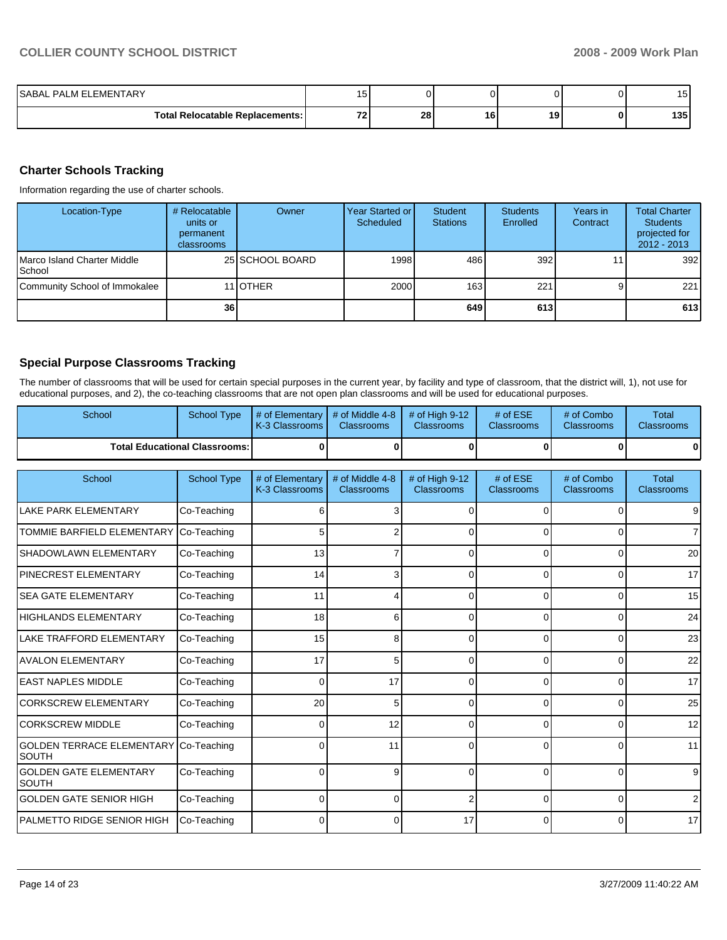| ISABAL PALM ELEMENTARY                   | . .<br>15. |    |    |           | . .<br>. |
|------------------------------------------|------------|----|----|-----------|----------|
| <b>Total Relocatable Replacements: I</b> | 70<br>. .  | 28 | 16 | 10<br>. . | 135      |

#### **Charter Schools Tracking**

Information regarding the use of charter schools.

| Location-Type                         | # Relocatable<br>units or<br>permanent<br><b>classrooms</b> | Owner           | <b>Year Started or</b><br>Scheduled | Student<br><b>Stations</b> | <b>Students</b><br>Enrolled | Years in<br>Contract | <b>Total Charter</b><br><b>Students</b><br>projected for<br>$2012 - 2013$ |
|---------------------------------------|-------------------------------------------------------------|-----------------|-------------------------------------|----------------------------|-----------------------------|----------------------|---------------------------------------------------------------------------|
| Marco Island Charter Middle<br>School |                                                             | 25 SCHOOL BOARD | 1998                                | 486                        | 392 <sub>l</sub>            |                      | 392                                                                       |
| Community School of Immokalee         |                                                             | 11 <b>OTHER</b> | 2000                                | 163                        | 221                         |                      | 221                                                                       |
|                                       | 36 <sup>1</sup>                                             |                 |                                     | 649                        | 613                         |                      | 613                                                                       |

### **Special Purpose Classrooms Tracking**

The number of classrooms that will be used for certain special purposes in the current year, by facility and type of classroom, that the district will, 1), not use for educational purposes, and 2), the co-teaching classrooms that are not open plan classrooms and will be used for educational purposes.

| School                                        | <b>School Type</b>                   | # of Elementary<br>K-3 Classrooms | # of Middle 4-8<br>Classrooms | # of High 9-12<br><b>Classrooms</b> | # of ESE<br><b>Classrooms</b> | # of Combo<br><b>Classrooms</b> | <b>Total</b><br>Classrooms |
|-----------------------------------------------|--------------------------------------|-----------------------------------|-------------------------------|-------------------------------------|-------------------------------|---------------------------------|----------------------------|
|                                               | <b>Total Educational Classrooms:</b> | O                                 | $\Omega$                      | $\bf{0}$                            | 0                             | $\bf{0}$                        |                            |
| School                                        | <b>School Type</b>                   | # of Elementary                   | # of Middle 4-8               | # of High 9-12                      | # of ESE                      | # of Combo                      | <b>Total</b>               |
|                                               |                                      | K-3 Classrooms                    | Classrooms                    | Classrooms                          | Classrooms                    | Classrooms                      | Classrooms                 |
| LAKE PARK ELEMENTARY                          | Co-Teaching                          | F                                 | 3                             | 0                                   | $\mathbf 0$                   | $\Omega$                        |                            |
| <b>TOMMIE BARFIELD ELEMENTARY</b>             | Co-Teaching                          | 5                                 |                               | $\Omega$                            | 0                             | 0                               |                            |
| <b>SHADOWLAWN ELEMENTARY</b>                  | Co-Teaching                          | 13                                |                               | 0                                   | 0                             | 0                               | 20                         |
| <b>PINECREST ELEMENTARY</b>                   | Co-Teaching                          | 14                                | 3                             | 0                                   | 0                             | $\Omega$                        | 17                         |
| <b>SEA GATE ELEMENTARY</b>                    | Co-Teaching                          | 11                                |                               | 0                                   | $\Omega$                      | $\Omega$                        | 15                         |
| <b>HIGHLANDS ELEMENTARY</b>                   | Co-Teaching                          | 18                                | 6                             | $\Omega$                            | $\Omega$                      | $\Omega$                        | 24                         |
| <b>LAKE TRAFFORD ELEMENTARY</b>               | Co-Teaching                          | 15                                | 8                             | $\Omega$                            | $\Omega$                      | $\Omega$                        | 23                         |
| AVALON ELEMENTARY                             | Co-Teaching                          | 17                                | 5                             | $\Omega$                            | $\Omega$                      | $\Omega$                        | 22                         |
| <b>EAST NAPLES MIDDLE</b>                     | Co-Teaching                          | $\Omega$                          | 17                            | $\Omega$                            | $\Omega$                      | $\Omega$                        | 17                         |
| <b>CORKSCREW ELEMENTARY</b>                   | Co-Teaching                          | 20                                | 5                             | $\Omega$                            | $\Omega$                      | $\Omega$                        | 25                         |
| <b>CORKSCREW MIDDLE</b>                       | Co-Teaching                          | $\Omega$                          | 12                            | 0                                   | 0                             | $\Omega$                        | 12                         |
| GOLDEN TERRACE ELEMENTARY<br>Isouth           | Co-Teaching                          | C                                 | 11                            | $\Omega$                            | 0                             | $\Omega$                        | 11                         |
| <b>GOLDEN GATE ELEMENTARY</b><br><b>SOUTH</b> | Co-Teaching                          | $\Omega$                          | 9                             | $\Omega$                            | $\Omega$                      | $\Omega$                        |                            |
| <b>GOLDEN GATE SENIOR HIGH</b>                | Co-Teaching                          | C                                 | $\Omega$                      | $\overline{2}$                      | $\Omega$                      | $\Omega$                        |                            |
| PALMETTO RIDGE SENIOR HIGH                    | Co-Teaching                          |                                   | 0                             | 17                                  | $\Omega$                      | $\Omega$                        | 17                         |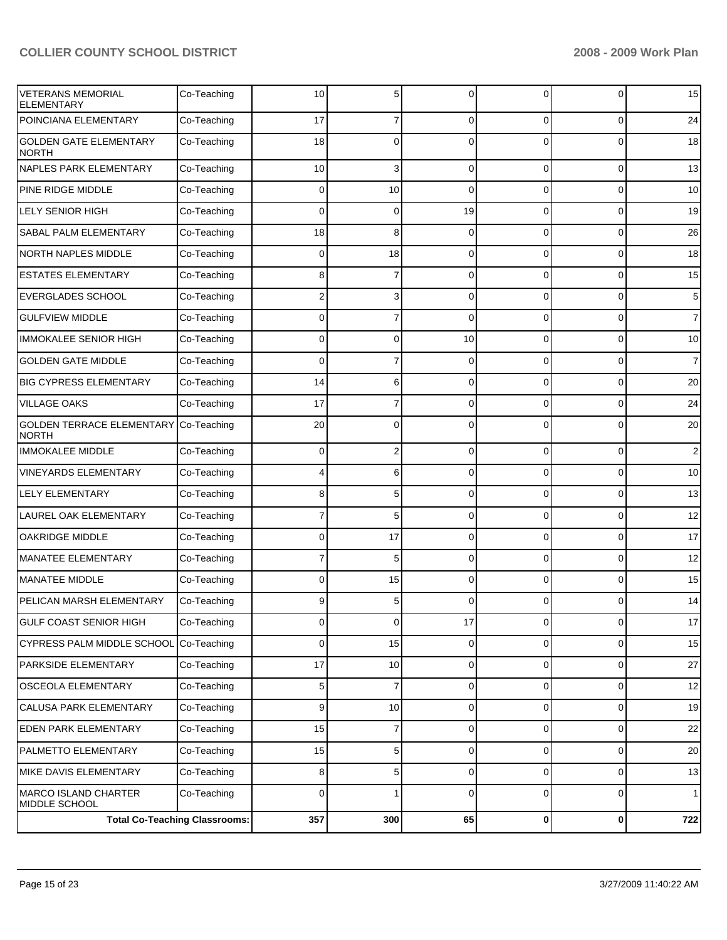| <b>VETERANS MEMORIAL</b><br><b>ELEMENTARY</b>    | Co-Teaching                          | 10             | 5              | $\Omega$    | 0              | 0              | 15             |
|--------------------------------------------------|--------------------------------------|----------------|----------------|-------------|----------------|----------------|----------------|
| POINCIANA ELEMENTARY                             | Co-Teaching                          | 17             | $\overline{7}$ | $\Omega$    | $\Omega$       | $\overline{0}$ | 24             |
| <b>GOLDEN GATE ELEMENTARY</b><br><b>NORTH</b>    | Co-Teaching                          | 18             | 0              | $\Omega$    | $\Omega$       | 0              | 18             |
| NAPLES PARK ELEMENTARY                           | Co-Teaching                          | 10             | 3              | $\mathbf 0$ | 0              | $\overline{0}$ | 13             |
| <b>PINE RIDGE MIDDLE</b>                         | Co-Teaching                          | 0              | 10             | $\Omega$    | $\Omega$       | 0              | 10             |
| <b>LELY SENIOR HIGH</b>                          | Co-Teaching                          | 0              | 0              | 19          | 0              | 0              | 19             |
| SABAL PALM ELEMENTARY                            | Co-Teaching                          | 18             | 8              | $\mathbf 0$ | 0              | $\overline{0}$ | 26             |
| <b>NORTH NAPLES MIDDLE</b>                       | Co-Teaching                          | $\mathbf 0$    | 18             | $\mathbf 0$ | 0              | 0              | 18             |
| <b>ESTATES ELEMENTARY</b>                        | Co-Teaching                          | 8              | $\overline{7}$ | $\mathbf 0$ | 0              | 0              | 15             |
| <b>EVERGLADES SCHOOL</b>                         | Co-Teaching                          | 2              | 3              | $\mathbf 0$ | 0              | $\overline{0}$ | 5              |
| <b>GULFVIEW MIDDLE</b>                           | Co-Teaching                          | 0              | $\overline{7}$ | $\Omega$    | $\Omega$       | 0              | $\overline{7}$ |
| <b>IMMOKALEE SENIOR HIGH</b>                     | Co-Teaching                          | 0              | 0              | 10          | 0              | 0              | 10             |
| <b>GOLDEN GATE MIDDLE</b>                        | Co-Teaching                          | 0              | $\overline{7}$ | $\mathbf 0$ | 0              | $\overline{0}$ | $\overline{7}$ |
| <b>BIG CYPRESS ELEMENTARY</b>                    | Co-Teaching                          | 14             | 6              | $\mathbf 0$ | 0              | 0              | 20             |
| <b>VILLAGE OAKS</b>                              | Co-Teaching                          | 17             | 7              | $\mathbf 0$ | 0              | 0              | 24             |
| <b>GOLDEN TERRACE ELEMENTARY</b><br><b>NORTH</b> | Co-Teaching                          | 20             | 0              | $\mathbf 0$ | 0              | 0              | 20             |
| <b>IMMOKALEE MIDDLE</b>                          | Co-Teaching                          | 0              | 2              | $\mathbf 0$ | 0              | 0              | $\overline{2}$ |
| <b>VINEYARDS ELEMENTARY</b>                      | Co-Teaching                          | 4              | 6              | $\Omega$    | $\Omega$       | 0              | 10             |
| <b>LELY ELEMENTARY</b>                           | Co-Teaching                          | 8              | 5              | $\mathbf 0$ | $\Omega$       | 0              | 13             |
| <b>LAUREL OAK ELEMENTARY</b>                     | Co-Teaching                          |                | 5              | $\Omega$    | $\Omega$       | 0              | 12             |
| <b>OAKRIDGE MIDDLE</b>                           | Co-Teaching                          | 0              | 17             | $\mathbf 0$ | 0              | 0              | 17             |
| <b>MANATEE ELEMENTARY</b>                        | Co-Teaching                          | 7              | 5              | $\Omega$    | $\Omega$       | 0              | 12             |
| <b>MANATEE MIDDLE</b>                            | Co-Teaching                          | 0              | 15             | $\Omega$    | $\Omega$       | 0              | 15             |
| PELICAN MARSH ELEMENTARY                         | Co-Teaching                          | 9              | 5              | $\Omega$    | $\Omega$       | 0              | 14             |
| <b>GULF COAST SENIOR HIGH</b>                    | Co-Teaching                          | $\overline{0}$ | $\overline{0}$ | 17          | $\overline{0}$ | $\circ$        | 17             |
| CYPRESS PALM MIDDLE SCHOOL                       | Co-Teaching                          | 0              | 15             | $\Omega$    | 0              | $\mathbf 0$    | 15             |
| PARKSIDE ELEMENTARY                              | Co-Teaching                          | 17             | 10             | $\mathbf 0$ | 0              | $\mathbf 0$    | 27             |
| <b>OSCEOLA ELEMENTARY</b>                        | Co-Teaching                          | 5              | $\overline{7}$ | $\mathbf 0$ | $\mathbf 0$    | $\mathbf 0$    | 12             |
| <b>CALUSA PARK ELEMENTARY</b>                    | Co-Teaching                          | 9              | 10             | $\mathbf 0$ | 0              | $\mathbf 0$    | 19             |
| EDEN PARK ELEMENTARY                             | Co-Teaching                          | 15             | 7              | $\mathbf 0$ | 0              | $\mathbf 0$    | 22             |
| PALMETTO ELEMENTARY                              | Co-Teaching                          | 15             | 5              | $\mathbf 0$ | 0              | $\mathbf 0$    | 20             |
| MIKE DAVIS ELEMENTARY                            | Co-Teaching                          | 8              | 5              | $\mathbf 0$ | 0              | $\mathbf 0$    | 13             |
| MARCO ISLAND CHARTER<br>MIDDLE SCHOOL            | Co-Teaching                          | 0              | 1              | $\mathbf 0$ | 0              | $\mathbf 0$    | $\mathbf{1}$   |
|                                                  | <b>Total Co-Teaching Classrooms:</b> | 357            | 300            | 65          | 0              | $\mathbf{0}$   | 722            |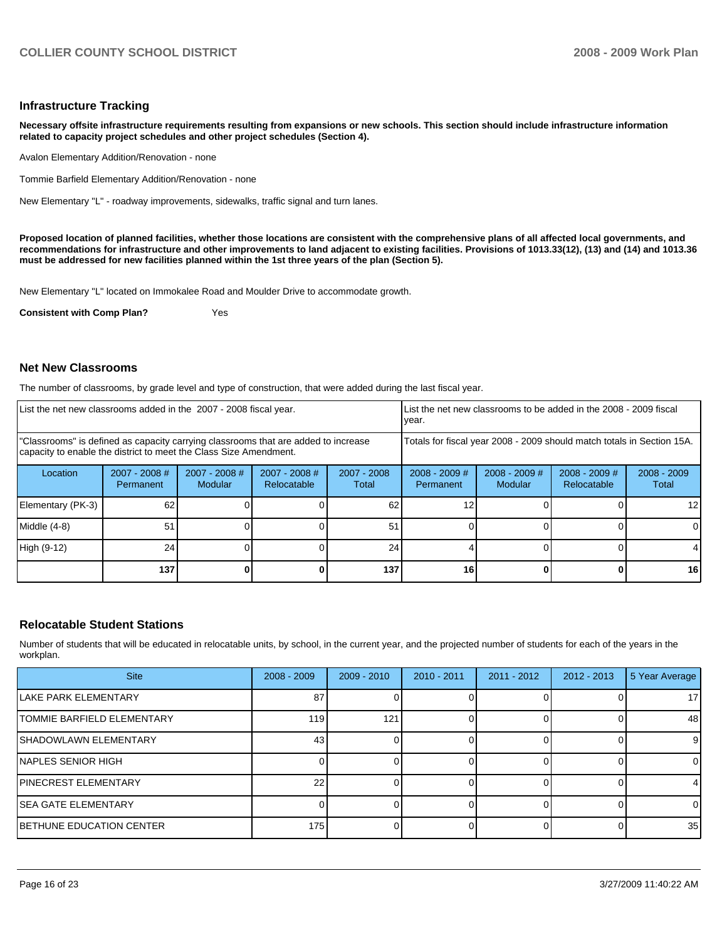#### **Infrastructure Tracking**

**Necessary offsite infrastructure requirements resulting from expansions or new schools. This section should include infrastructure information related to capacity project schedules and other project schedules (Section 4).** 

Avalon Elementary Addition/Renovation - none

Tommie Barfield Elementary Addition/Renovation - none��

New Elementary "L" - roadway improvements, sidewalks, traffic signal and turn lanes.

**Proposed location of planned facilities, whether those locations are consistent with the comprehensive plans of all affected local governments, and recommendations for infrastructure and other improvements to land adjacent to existing facilities. Provisions of 1013.33(12), (13) and (14) and 1013.36 must be addressed for new facilities planned within the 1st three years of the plan (Section 5).** 

New Elementary "L" located on Immokalee Road and Moulder Drive to accommodate growth.

**Consistent with Comp Plan?** Yes

#### **Net New Classrooms**

The number of classrooms, by grade level and type of construction, that were added during the last fiscal year.

| List the net new classrooms added in the 2007 - 2008 fiscal year. |                                                                                                                                                                                                                                   |         |             |       | List the net new classrooms to be added in the 2008 - 2009 fiscal<br>year. |                            |                                |                        |
|-------------------------------------------------------------------|-----------------------------------------------------------------------------------------------------------------------------------------------------------------------------------------------------------------------------------|---------|-------------|-------|----------------------------------------------------------------------------|----------------------------|--------------------------------|------------------------|
|                                                                   | "Classrooms" is defined as capacity carrying classrooms that are added to increase<br>capacity to enable the district to meet the Class Size Amendment.<br>$2007 - 2008$ #<br>$2007 - 2008$ #<br>$2007 - 2008$ #<br>$2007 - 2008$ |         |             |       | Totals for fiscal year 2008 - 2009 should match totals in Section 15A.     |                            |                                |                        |
| Location                                                          | Permanent                                                                                                                                                                                                                         | Modular | Relocatable | Total | $2008 - 2009$ #<br>Permanent                                               | $2008 - 2009$ #<br>Modular | $2008 - 2009$ #<br>Relocatable | $2008 - 2009$<br>Total |
| Elementary (PK-3)                                                 | 62                                                                                                                                                                                                                                |         |             | 62    |                                                                            |                            |                                | 12 I                   |
| Middle (4-8)                                                      | 51                                                                                                                                                                                                                                |         |             | 51    |                                                                            |                            |                                | ΩI                     |
| High (9-12)                                                       | 24                                                                                                                                                                                                                                |         |             | 24    |                                                                            |                            |                                |                        |
|                                                                   | 137                                                                                                                                                                                                                               |         |             | 137   | 16                                                                         |                            |                                | 16                     |

#### **Relocatable Student Stations**

Number of students that will be educated in relocatable units, by school, in the current year, and the projected number of students for each of the years in the workplan.

| <b>Site</b>                  | $2008 - 2009$ | $2009 - 2010$ | $2010 - 2011$ | $2011 - 2012$ | $2012 - 2013$ | 5 Year Average  |
|------------------------------|---------------|---------------|---------------|---------------|---------------|-----------------|
| LAKE PARK ELEMENTARY         | 87            |               |               |               |               | 17 <sup>1</sup> |
| TOMMIE BARFIELD ELEMENTARY   | 119           | 121           |               |               |               | 48              |
| <b>SHADOWLAWN ELEMENTARY</b> | 43            |               |               |               |               | 9               |
| INAPLES SENIOR HIGH          |               |               |               |               |               | ΟI              |
| <b>PINECREST ELEMENTARY</b>  | 22            |               |               |               |               | 4               |
| ISEA GATE ELEMENTARY         |               |               |               |               |               | ΩI              |
| BETHUNE EDUCATION CENTER     | 175           |               |               |               |               | 35              |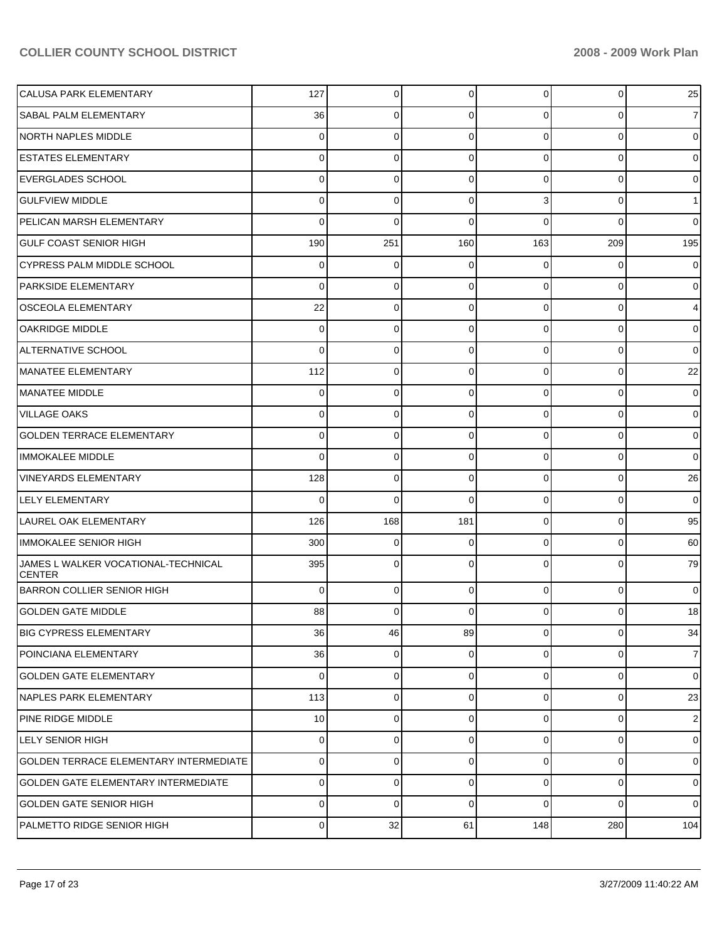| CALUSA PARK ELEMENTARY                               | 127         | 0           | 0              | 0              | 0              | 25             |
|------------------------------------------------------|-------------|-------------|----------------|----------------|----------------|----------------|
| <b>SABAL PALM ELEMENTARY</b>                         | 36          | 0           | 0              | 0              | 0              | $\overline{7}$ |
| NORTH NAPLES MIDDLE                                  | 0           | 0           | 0              | 0              | 0              | $\overline{0}$ |
| <b>ESTATES ELEMENTARY</b>                            | 0           | 0           | 0              | 0              | 0              | $\overline{0}$ |
| <b>EVERGLADES SCHOOL</b>                             | 0           | 0           | 0              | 0              | 0              | $\overline{0}$ |
| <b>GULFVIEW MIDDLE</b>                               | 0           | 0           | 0              | 3              | 0              | 1 <sup>1</sup> |
| PELICAN MARSH ELEMENTARY                             | 0           | 0           | 0              | 0              | $\Omega$       | $\overline{0}$ |
| <b>GULF COAST SENIOR HIGH</b>                        | 190         | 251         | 160            | 163            | 209            | 195            |
| <b>CYPRESS PALM MIDDLE SCHOOL</b>                    | 0           | 0           | 0              | 0              | 0              | $\overline{0}$ |
| <b>PARKSIDE ELEMENTARY</b>                           | 0           | 0           | 0              | 0              | 0              | $\overline{0}$ |
| <b>OSCEOLA ELEMENTARY</b>                            | 22          | 0           | 0              | 0              | 0              | $\overline{4}$ |
| <b>OAKRIDGE MIDDLE</b>                               | 0           | 0           | 0              | 0              | 0              | $\overline{0}$ |
| <b>ALTERNATIVE SCHOOL</b>                            | 0           | 0           | 0              | 0              | 0              | $\overline{0}$ |
| MANATEE ELEMENTARY                                   | 112         | 0           | 0              | 0              | 0              | 22             |
| <b>I</b> MANATEE MIDDLE                              | 0           | 0           | 0              | 0              | 0              | $\overline{0}$ |
| <b>VILLAGE OAKS</b>                                  | 0           | 0           | 0              | 0              | 0              | $\overline{0}$ |
| <b>GOLDEN TERRACE ELEMENTARY</b>                     | 0           | 0           | 0              | 0              | 0              | $\overline{0}$ |
| <b>IMMOKALEE MIDDLE</b>                              | 0           | 0           | 0              | 0              | 0              | $\overline{0}$ |
| <b>VINEYARDS ELEMENTARY</b>                          | 128         | 0           | 0              | 0              | 0              | 26             |
| <b>LELY ELEMENTARY</b>                               | 0           | 0           | $\mathbf 0$    | 0              | 0              | $\overline{0}$ |
| LAUREL OAK ELEMENTARY                                | 126         | 168         | 181            | 0              | 0              | 95             |
| <b>IMMOKALEE SENIOR HIGH</b>                         | 300         | 0           | 0              | 0              | 0              | 60             |
| JAMES L WALKER VOCATIONAL-TECHNICAL<br><b>CENTER</b> | 395         | 0           | 0              | 0              | 0              | 79             |
| BARRON COLLIER SENIOR HIGH                           | 0           | $\mathbf 0$ | 0              | $\Omega$       | $\mathbf 0$    | $\overline{0}$ |
| GOLDEN GATE MIDDLE                                   | 88          | 0           | $\overline{0}$ | $\overline{0}$ | $\overline{0}$ | 18             |
| <b>BIG CYPRESS ELEMENTARY</b>                        | 36          | 46          | 89             | $\overline{0}$ | $\mathbf 0$    | 34             |
| POINCIANA ELEMENTARY                                 | 36          | 0           | 0              | $\overline{0}$ | $\mathbf 0$    | 7 <sup>1</sup> |
| <b>GOLDEN GATE ELEMENTARY</b>                        | $\mathbf 0$ | 0           | 0              | 0              | $\mathbf 0$    | $\overline{0}$ |
| NAPLES PARK ELEMENTARY                               | 113         | 0           | 0              | $\overline{0}$ | $\mathbf 0$    | 23             |
| PINE RIDGE MIDDLE                                    | 10          | 0           | 0              | $\overline{0}$ | $\mathbf 0$    | $\mathbf{2}$   |
| <b>LELY SENIOR HIGH</b>                              | $\mathbf 0$ | 0           | $\mathbf 0$    | $\overline{0}$ | $\mathbf 0$    | $\overline{0}$ |
| <b>GOLDEN TERRACE ELEMENTARY INTERMEDIATE</b>        | 0           | $\mathbf 0$ | 0              | 0              | $\mathbf 0$    | $\overline{0}$ |
| <b>GOLDEN GATE ELEMENTARY INTERMEDIATE</b>           | 0           | $\mathbf 0$ | 0              | $\overline{0}$ | $\mathbf 0$    | $\overline{0}$ |
| <b>GOLDEN GATE SENIOR HIGH</b>                       | 0           | $\mathbf 0$ | 0              | $\Omega$       | 0              | $\overline{0}$ |
| PALMETTO RIDGE SENIOR HIGH                           | 0           | 32          | 61             | 148            | 280            | 104            |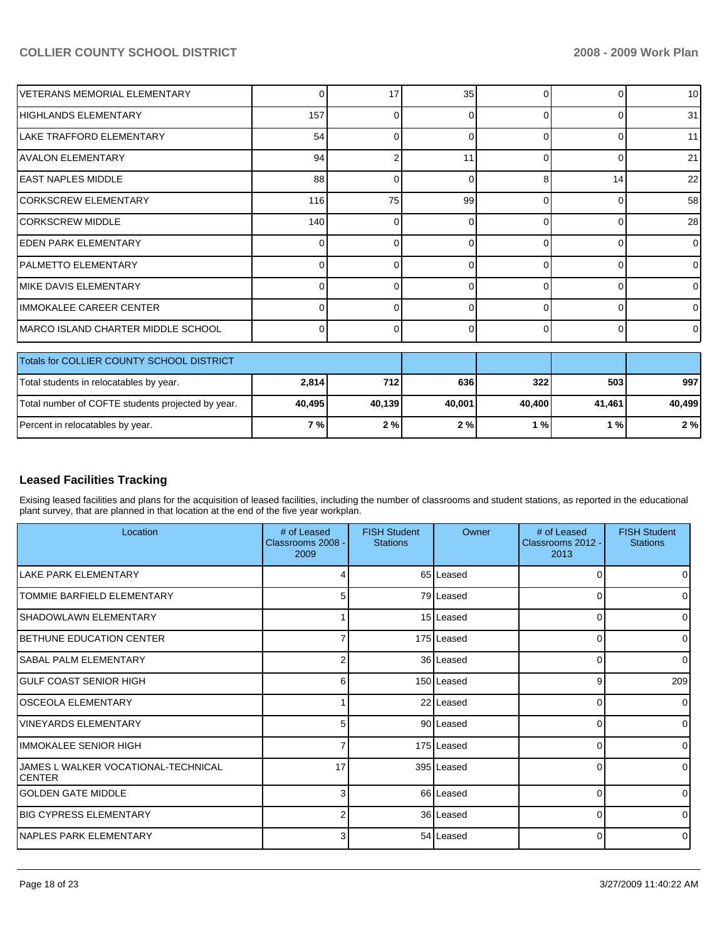| VETERANS MEMORIAL ELEMENTARY                      | 0            | 17     | 35     |          | 0              | 10 <sup>1</sup> |
|---------------------------------------------------|--------------|--------|--------|----------|----------------|-----------------|
| HIGHLANDS ELEMENTARY                              | 157          | ∩      | 0      | C        | 0              | 31              |
| LAKE TRAFFORD ELEMENTARY                          | 54           |        | n      | r        | 0              | 11              |
| <b>AVALON ELEMENTARY</b>                          | 94           |        | 11     | ſ        | 0              | 21              |
| <b>EAST NAPLES MIDDLE</b>                         | 88           | 0      | 0      | 8        | 14             | 22              |
| <b>CORKSCREW ELEMENTARY</b>                       | 116          | 75     | 99     | ∩        | $\Omega$       | 58              |
| <b>CORKSCREW MIDDLE</b>                           | 140          |        | ŋ      | r        | <sup>0</sup>   | 28              |
| <b>EDEN PARK ELEMENTARY</b>                       | 0            |        | ŋ      | r        | 0              | $\Omega$        |
| <b>PALMETTO ELEMENTARY</b>                        | 0            | ŋ      | 0      | $\Omega$ | 0              | 0               |
| IMIKE DAVIS ELEMENTARY                            | <sup>0</sup> | n      | 0      | $\Omega$ | 0              | 0               |
| <b>IMMOKALEE CAREER CENTER</b>                    | U            |        | ŋ      | r        | <sup>0</sup>   | U               |
| MARCO ISLAND CHARTER MIDDLE SCHOOL                | 0            | ŋ      | 0      | ∩        | $\overline{0}$ | 0               |
| Totals for COLLIER COUNTY SCHOOL DISTRICT         |              |        |        |          |                |                 |
| Total students in relocatables by year.           | 2,814        | 712    | 636    | 322      | 503            | 997             |
| Total number of COFTE students projected by year. | 40,495       | 40,139 | 40,001 | 40,400   | 41,461         | 40,499          |
| Percent in relocatables by year.                  | 7 %          | 2%     | 2%     | 1%       | 1%             | 2%              |

### **Leased Facilities Tracking**

Exising leased facilities and plans for the acquisition of leased facilities, including the number of classrooms and student stations, as reported in the educational plant survey, that are planned in that location at the end of the five year workplan.

| Location                                              | # of Leased<br>Classrooms 2008 -<br>2009 | <b>FISH Student</b><br><b>Stations</b> | Owner      | # of Leased<br>Classrooms 2012 -<br>2013 | <b>FISH Student</b><br><b>Stations</b> |
|-------------------------------------------------------|------------------------------------------|----------------------------------------|------------|------------------------------------------|----------------------------------------|
| llake PARK ELEMENTARY                                 | 4                                        |                                        | 65 Leased  | 0                                        |                                        |
| <b>ITOMMIE BARFIELD ELEMENTARY</b>                    | 5 <sup>1</sup>                           |                                        | 79 Leased  | $\Omega$                                 | O                                      |
| <b>SHADOWLAWN ELEMENTARY</b>                          |                                          |                                        | 15 Leased  | 0                                        |                                        |
| BETHUNE EDUCATION CENTER                              |                                          |                                        | 175 Leased | 0                                        |                                        |
| <b>SABAL PALM ELEMENTARY</b>                          | 2                                        |                                        | 36 Leased  | $\Omega$                                 |                                        |
| GULF COAST SENIOR HIGH                                | 6                                        |                                        | 150 Leased | 9                                        | 209                                    |
| <b>OSCEOLA ELEMENTARY</b>                             |                                          |                                        | 22 Leased  | $\Omega$                                 | $\Omega$                               |
| IVINEYARDS ELEMENTARY                                 | 5 <sub>l</sub>                           |                                        | 90 Leased  | 0                                        | 0                                      |
| IMMOKALEE SENIOR HIGH                                 | 7                                        |                                        | 175 Leased | $\Omega$                                 | <sup>0</sup>                           |
| IJAMES L WALKER VOCATIONAL-TECHNICAL<br><b>CENTER</b> | 17                                       |                                        | 395 Leased | $\Omega$                                 |                                        |
| lGOLDEN GATE MIDDLE                                   | 3                                        |                                        | 66 Leased  | $\Omega$                                 |                                        |
| <b>IBIG CYPRESS ELEMENTARY</b>                        | 2                                        |                                        | 36 Leased  | $\Omega$                                 |                                        |
| INAPLES PARK ELEMENTARY                               | 3                                        |                                        | 54 Leased  | $\Omega$                                 |                                        |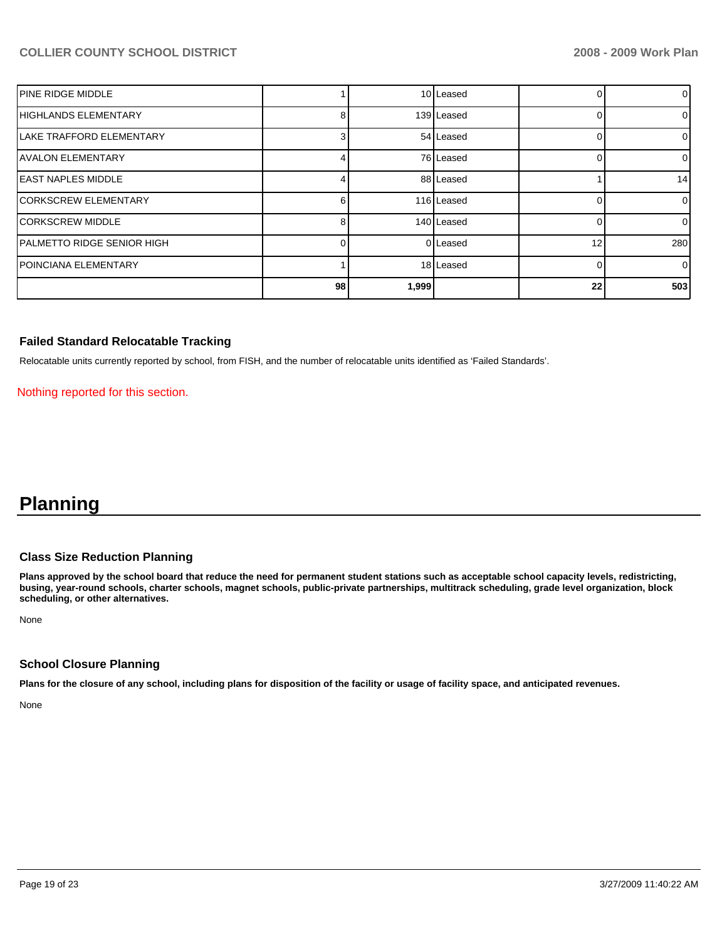| <b>IPINE RIDGE MIDDLE</b>        |    |       | 10 Leased  |    | 0              |
|----------------------------------|----|-------|------------|----|----------------|
| <b>HIGHLANDS ELEMENTARY</b>      | 8  |       | 139 Leased |    | 0              |
| <b>ILAKE TRAFFORD ELEMENTARY</b> | 3  |       | 54 Leased  |    | $\overline{0}$ |
| <b>IAVALON ELEMENTARY</b>        |    |       | 76 Leased  |    | 0              |
| <b>IEAST NAPLES MIDDLE</b>       |    |       | 88 Leased  |    | 14             |
| <b>ICORKSCREW ELEMENTARY</b>     |    |       | 116 Leased |    | $\overline{0}$ |
| <b>ICORKSCREW MIDDLE</b>         | 8  |       | 140 Leased |    | $\overline{0}$ |
| PALMETTO RIDGE SENIOR HIGH       |    |       | 0 Leased   | 12 | 280            |
| <b>IPOINCIANA ELEMENTARY</b>     |    |       | 18 Leased  |    | $\overline{0}$ |
|                                  | 98 | 1,999 |            | 22 | 503            |

#### **Failed Standard Relocatable Tracking**

Relocatable units currently reported by school, from FISH, and the number of relocatable units identified as 'Failed Standards'.

Nothing reported for this section.

# **Planning**

#### **Class Size Reduction Planning**

**Plans approved by the school board that reduce the need for permanent student stations such as acceptable school capacity levels, redistricting, busing, year-round schools, charter schools, magnet schools, public-private partnerships, multitrack scheduling, grade level organization, block scheduling, or other alternatives.** 

None

#### **School Closure Planning**

**Plans for the closure of any school, including plans for disposition of the facility or usage of facility space, and anticipated revenues.** 

None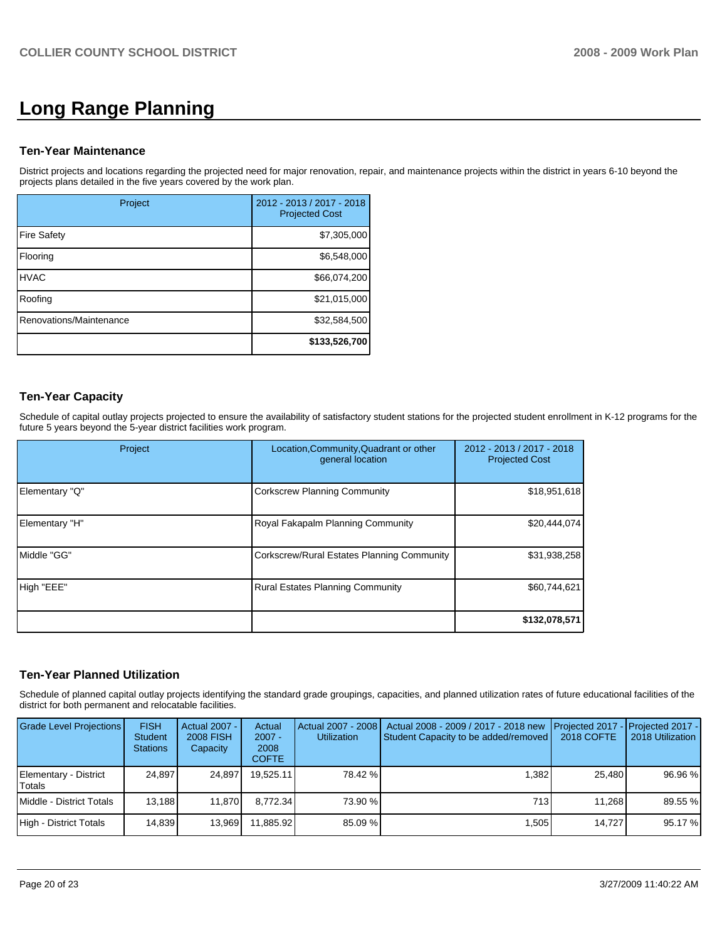# **Long Range Planning**

#### **Ten-Year Maintenance**

District projects and locations regarding the projected need for major renovation, repair, and maintenance projects within the district in years 6-10 beyond the projects plans detailed in the five years covered by the work plan.

| Project                 | 2012 - 2013 / 2017 - 2018<br><b>Projected Cost</b> |
|-------------------------|----------------------------------------------------|
| <b>Fire Safety</b>      | \$7,305,000                                        |
| Flooring                | \$6,548,000                                        |
| <b>HVAC</b>             | \$66,074,200                                       |
| Roofing                 | \$21,015,000                                       |
| Renovations/Maintenance | \$32,584,500                                       |
|                         | \$133,526,700                                      |

## **Ten-Year Capacity**

Schedule of capital outlay projects projected to ensure the availability of satisfactory student stations for the projected student enrollment in K-12 programs for the future 5 years beyond the 5-year district facilities work program.

| Project        | Location, Community, Quadrant or other<br>general location | 2012 - 2013 / 2017 - 2018<br><b>Projected Cost</b> |  |
|----------------|------------------------------------------------------------|----------------------------------------------------|--|
| Elementary "Q" | <b>Corkscrew Planning Community</b>                        | \$18,951,618                                       |  |
| Elementary "H" | Royal Fakapalm Planning Community                          | \$20,444,074                                       |  |
| Middle "GG"    | Corkscrew/Rural Estates Planning Community                 | \$31,938,258                                       |  |
| High "EEE"     | <b>Rural Estates Planning Community</b>                    | \$60,744,621                                       |  |
|                |                                                            | \$132,078,571                                      |  |

### **Ten-Year Planned Utilization**

Schedule of planned capital outlay projects identifying the standard grade groupings, capacities, and planned utilization rates of future educational facilities of the district for both permanent and relocatable facilities.

| <b>Grade Level Projections</b>  | <b>FISH</b><br><b>Student</b><br><b>Stations</b> | Actual 2007 -<br>2008 FISH<br>Capacity | Actual<br>$2007 -$<br>2008<br><b>COFTE</b> | Actual 2007 - 2008<br><b>Utilization</b> | Actual 2008 - 2009 / 2017 - 2018 new<br>Student Capacity to be added/removed | Projected 2017 - Projected 2017 -<br>2018 COFTE | 2018 Utilization |
|---------------------------------|--------------------------------------------------|----------------------------------------|--------------------------------------------|------------------------------------------|------------------------------------------------------------------------------|-------------------------------------------------|------------------|
| Elementary - District<br>Totals | 24.897                                           | 24.897                                 | 19.525.11                                  | 78.42 %                                  | 1.382                                                                        | 25.480                                          | 96.96 %          |
| Middle - District Totals        | 13.188                                           | 11.870                                 | 8.772.34                                   | 73.90 %                                  | 713                                                                          | 11.268                                          | 89.55 %          |
| High - District Totals          | 14,839                                           | 13,969                                 | 11.885.92                                  | 85.09 %                                  | .505                                                                         | 14.727                                          | 95.17 %          |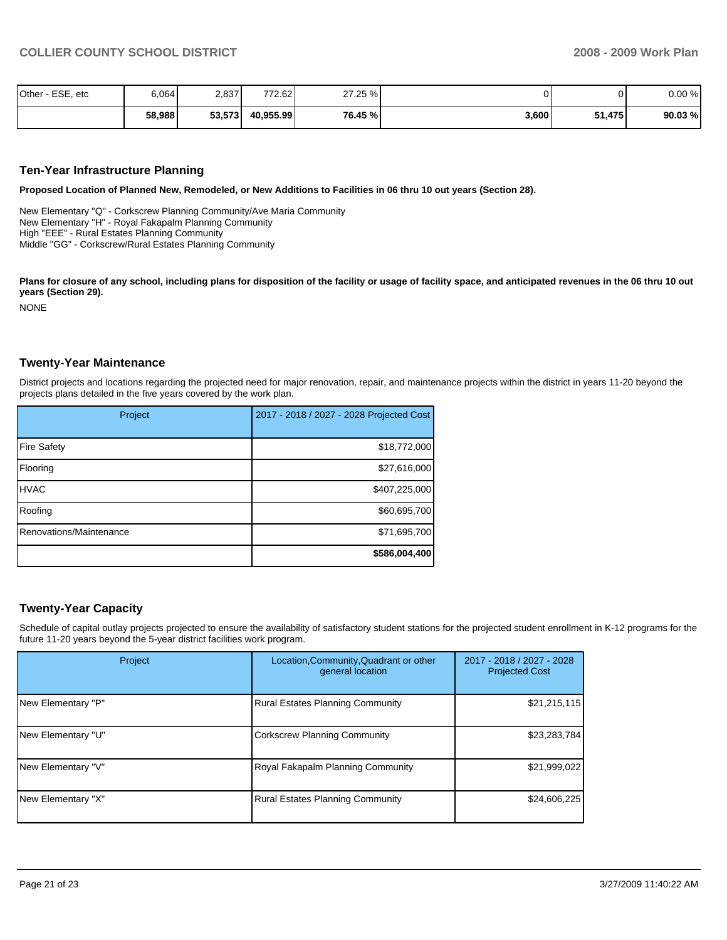| Other - ESE, etc | 6,064  | 2,837  | 772.62    | 27.25 % |       |        | 0.00%  |
|------------------|--------|--------|-----------|---------|-------|--------|--------|
|                  | 58,988 | 53,573 | 40,955.99 | 76.45 % | 3,600 | 51,475 | 90.03% |

#### **Ten-Year Infrastructure Planning**

**Proposed Location of Planned New, Remodeled, or New Additions to Facilities in 06 thru 10 out years (Section 28).** 

New Elementary "Q" - Corkscrew Planning Community/Ave Maria Community New Elementary "H" - Royal Fakapalm Planning Community High "EEE" - Rural Estates Planning Community Middle "GG" - Corkscrew/Rural Estates Planning Community

Plans for closure of any school, including plans for disposition of the facility or usage of facility space, and anticipated revenues in the 06 thru 10 out **years (Section 29).** 

NONE

#### **Twenty-Year Maintenance**

District projects and locations regarding the projected need for major renovation, repair, and maintenance projects within the district in years 11-20 beyond the projects plans detailed in the five years covered by the work plan.

| Project                 | 2017 - 2018 / 2027 - 2028 Projected Cost |
|-------------------------|------------------------------------------|
| <b>Fire Safety</b>      | \$18,772,000                             |
| Flooring                | \$27,616,000                             |
| <b>HVAC</b>             | \$407,225,000                            |
| Roofing                 | \$60,695,700                             |
| Renovations/Maintenance | \$71,695,700                             |
|                         | \$586,004,400                            |

#### **Twenty-Year Capacity**

Schedule of capital outlay projects projected to ensure the availability of satisfactory student stations for the projected student enrollment in K-12 programs for the future 11-20 years beyond the 5-year district facilities work program.

| Project            | Location, Community, Quadrant or other<br>general location | 2017 - 2018 / 2027 - 2028<br><b>Projected Cost</b> |  |
|--------------------|------------------------------------------------------------|----------------------------------------------------|--|
| New Elementary "P" | <b>Rural Estates Planning Community</b>                    | \$21,215,115                                       |  |
| New Elementary "U" | <b>Corkscrew Planning Community</b>                        | \$23,283,784                                       |  |
| New Elementary "V" | Royal Fakapalm Planning Community                          | \$21,999,022                                       |  |
| New Elementary "X" | <b>Rural Estates Planning Community</b>                    | \$24,606,225                                       |  |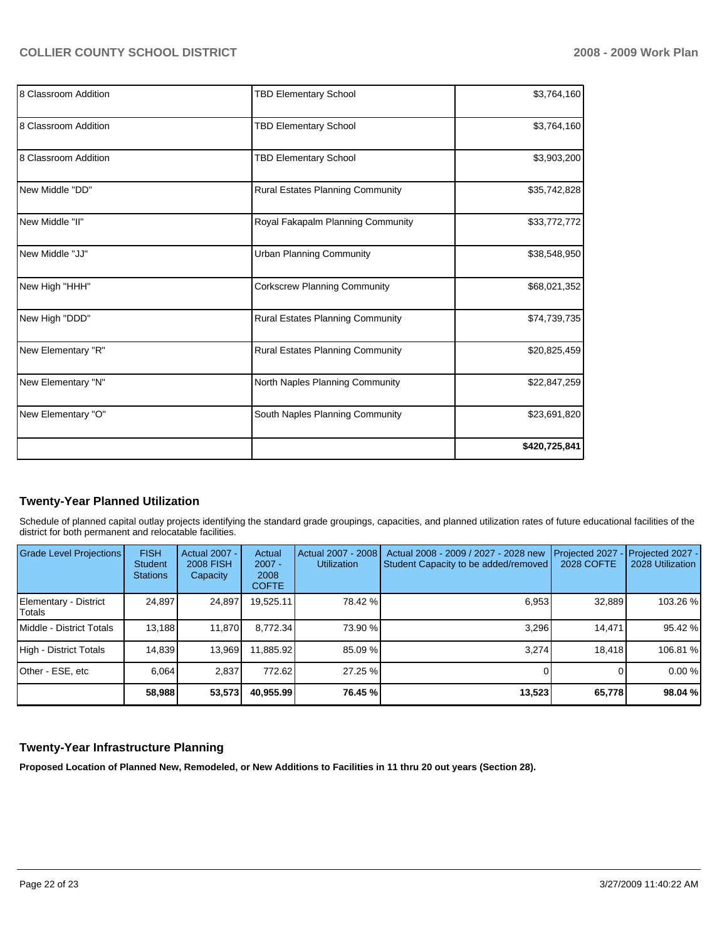| 8 Classroom Addition | <b>TBD Elementary School</b>        | \$3,764,160   |
|----------------------|-------------------------------------|---------------|
| 8 Classroom Addition | <b>TBD Elementary School</b>        | \$3,764,160   |
| 8 Classroom Addition | <b>TBD Elementary School</b>        | \$3,903,200   |
| New Middle "DD"      | Rural Estates Planning Community    | \$35,742,828  |
| New Middle "II"      | Royal Fakapalm Planning Community   | \$33,772,772  |
| New Middle "JJ"      | <b>Urban Planning Community</b>     | \$38,548,950  |
| New High "HHH"       | <b>Corkscrew Planning Community</b> | \$68,021,352  |
| New High "DDD"       | Rural Estates Planning Community    | \$74,739,735  |
| New Elementary "R"   | Rural Estates Planning Community    | \$20,825,459  |
| New Elementary "N"   | North Naples Planning Community     | \$22,847,259  |
| New Elementary "O"   | South Naples Planning Community     | \$23,691,820  |
|                      |                                     | \$420,725,841 |

### **Twenty-Year Planned Utilization**

Schedule of planned capital outlay projects identifying the standard grade groupings, capacities, and planned utilization rates of future educational facilities of the district for both permanent and relocatable facilities.

| Grade Level Projections         | <b>FISH</b><br>Student<br><b>Stations</b> | <b>Actual 2007 -</b><br><b>2008 FISH</b><br>Capacity | Actual<br>$2007 -$<br>2008<br><b>COFTE</b> | Actual 2007 - 2008<br><b>Utilization</b> | Actual 2008 - 2009 / 2027 - 2028 new<br>Student Capacity to be added/removed | Projected 2027<br>2028 COFTE | Projected 2027 -<br>2028 Utilization |
|---------------------------------|-------------------------------------------|------------------------------------------------------|--------------------------------------------|------------------------------------------|------------------------------------------------------------------------------|------------------------------|--------------------------------------|
| Elementary - District<br>Totals | 24,897                                    | 24,897                                               | 19.525.11                                  | 78.42 %                                  | 6,953                                                                        | 32,889                       | 103.26 %                             |
| Middle - District Totals        | 13.188                                    | 11.870                                               | 8.772.34                                   | 73.90 %                                  | 3.296                                                                        | 14.471                       | 95.42 %                              |
| High - District Totals          | 14.839                                    | 13.969                                               | 11.885.92                                  | 85.09 %                                  | 3.274                                                                        | 18.418                       | 106.81 %                             |
| Other - ESE, etc                | 6.064                                     | 2,837                                                | 772.62                                     | 27.25 %                                  |                                                                              |                              | 0.00 %                               |
|                                 | 58,988                                    | 53,573                                               | 40,955.99                                  | 76.45 %                                  | 13,523                                                                       | 65,778                       | 98.04 %                              |

#### **Twenty-Year Infrastructure Planning**

**Proposed Location of Planned New, Remodeled, or New Additions to Facilities in 11 thru 20 out years (Section 28).**